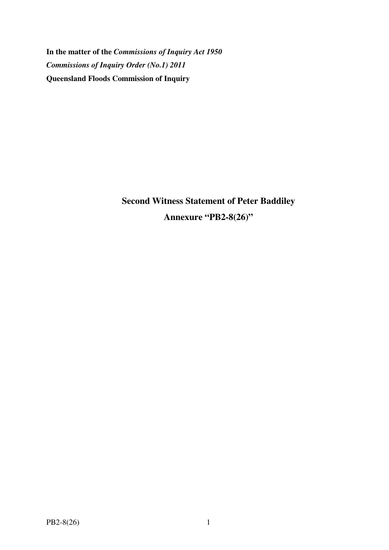**In the matter of the** *Commissions of Inquiry Act 1950 Commissions of Inquiry Order (No.1) 2011* **Queensland Floods Commission of Inquiry** 

> **Second Witness Statement of Peter Baddiley Annexure "PB2-8(26)"**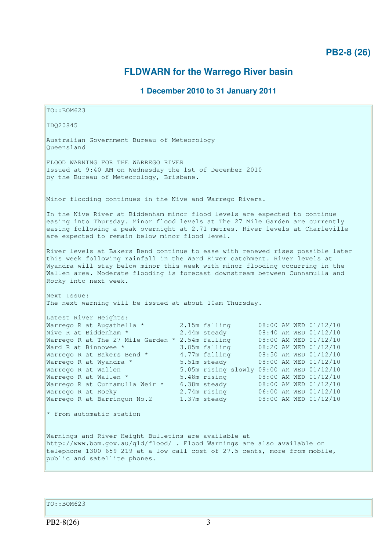## **PB2-8 (26)**

# **FLDWARN for the Warrego River basin**

### **1 December 2010 to 31 January 2011**

TO::BOM623 IDQ20845 Australian Government Bureau of Meteorology Queensland FLOOD WARNING FOR THE WARREGO RIVER Issued at 9:40 AM on Wednesday the 1st of December 2010 by the Bureau of Meteorology, Brisbane. Minor flooding continues in the Nive and Warrego Rivers. In the Nive River at Biddenham minor flood levels are expected to continue easing into Thursday. Minor flood levels at The 27 Mile Garden are currently easing following a peak overnight at 2.71 metres. River levels at Charleville are expected to remain below minor flood level. River levels at Bakers Bend continue to ease with renewed rises possible later this week following rainfall in the Ward River catchment. River levels at Wyandra will stay below minor this week with minor flooding occurring in the Wallen area. Moderate flooding is forecast downstream between Cunnamulla and Rocky into next week. Next Issue: The next warning will be issued at about 10am Thursday. Latest River Heights: Warrego R at Augathella \* 2.15m falling 08:00 AM WED 01/12/10 Nive R at Biddenham \* 2.44m steady 08:40 AM WED 01/12/10 Warrego R at The 27 Mile Garden \* 2.54m falling 08:00 AM WED 01/12/10 Ward R at Binnowee \* 3.85m falling 08:20 AM WED 01/12/10 Warrego R at Bakers Bend \* 4.77m falling 08:50 AM WED 01/12/10 Warrego R at Wyandra \* 5.51m steady 08:00 AM WED 01/12/10 Warrego R at Wallen 5.05m rising slowly 09:00 AM WED 01/12/10 Warrego R at Wallen \* 5.48m rising 08:00 AM WED 01/12/10 Warrego R at Cunnamulla Weir \* 6.38m steady 08:00 AM WED 01/12/10 Warrego R at Rocky 2.74m rising 06:00 AM WED 01/12/10 Warrego R at Barringun No.2 1.37m steady 08:00 AM WED 01/12/10  $*$  from automatic station Warnings and River Height Bulletins are available at http://www.bom.gov.au/qld/flood/ . Flood Warnings are also available on telephone 1300 659 219 at a low call cost of 27.5 cents, more from mobile, public and satellite phones.

TO::BOM623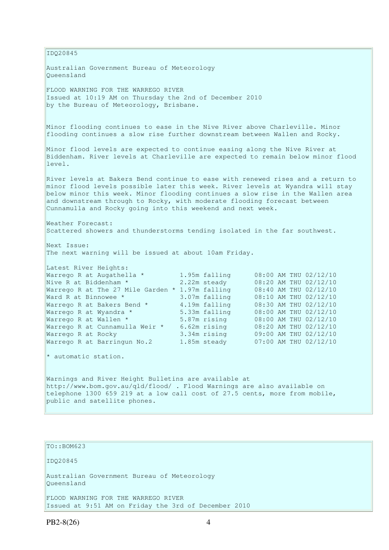IDQ20845 Australian Government Bureau of Meteorology Queensland FLOOD WARNING FOR THE WARREGO RIVER Issued at 10:19 AM on Thursday the 2nd of December 2010 by the Bureau of Meteorology, Brisbane. Minor flooding continues to ease in the Nive River above Charleville. Minor flooding continues a slow rise further downstream between Wallen and Rocky. Minor flood levels are expected to continue easing along the Nive River at Biddenham. River levels at Charleville are expected to remain below minor flood level. River levels at Bakers Bend continue to ease with renewed rises and a return to minor flood levels possible later this week. River levels at Wyandra will stay below minor this week. Minor flooding continues a slow rise in the Wallen area and downstream through to Rocky, with moderate flooding forecast between Cunnamulla and Rocky going into this weekend and next week. Weather Forecast: Scattered showers and thunderstorms tending isolated in the far southwest. Next Issue: The next warning will be issued at about 10am Friday. Latest River Heights: Warrego R at Augathella \* 1.95m falling 08:00 AM THU 02/12/10 Nive R at Biddenham \* 2.22m steady 08:20 AM THU 02/12/10 Warrego R at The 27 Mile Garden \* 1.97m falling 08:40 AM THU 02/12/10 Ward R at Binnowee \* 3.07m falling 08:10 AM THU 02/12/10 Warrego R at Bakers Bend \* 4.19m falling 08:30 AM THU 02/12/10 Warrego R at Wyandra \* 5.33m falling 08:00 AM THU 02/12/10 Warrego R at Wallen \* 5.87m rising 08:00 AM THU 02/12/10 Warrego R at Cunnamulla Weir \* 6.62m rising 08:20 AM THU 02/12/10 Warrego R at Rocky 3.34m rising 09:00 AM THU 02/12/10 Warrego R at Barringun No.2 1.85m steady 07:00 AM THU 02/12/10 \* automatic station. Warnings and River Height Bulletins are available at http://www.bom.gov.au/qld/flood/ . Flood Warnings are also available on telephone 1300 659 219 at a low call cost of 27.5 cents, more from mobile, public and satellite phones.

#### TO::BOM623

IDQ20845

Australian Government Bureau of Meteorology Queensland

FLOOD WARNING FOR THE WARREGO RIVER Issued at 9:51 AM on Friday the 3rd of December 2010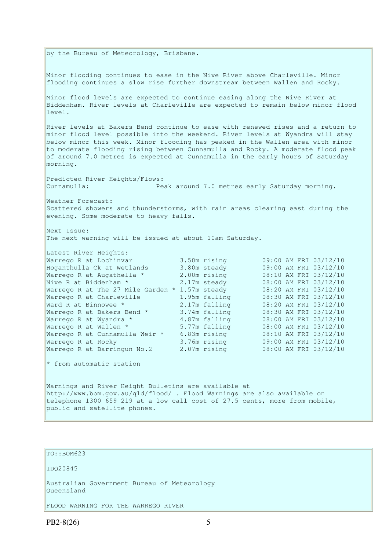by the Bureau of Meteorology, Brisbane. Minor flooding continues to ease in the Nive River above Charleville. Minor flooding continues a slow rise further downstream between Wallen and Rocky. Minor flood levels are expected to continue easing along the Nive River at Biddenham. River levels at Charleville are expected to remain below minor flood level. River levels at Bakers Bend continue to ease with renewed rises and a return to minor flood level possible into the weekend. River levels at Wyandra will stay below minor this week. Minor flooding has peaked in the Wallen area with minor to moderate flooding rising between Cunnamulla and Rocky. A moderate flood peak of around 7.0 metres is expected at Cunnamulla in the early hours of Saturday morning. Predicted River Heights/Flows: Cunnamulla: Peak around 7.0 metres early Saturday morning. Weather Forecast: Scattered showers and thunderstorms, with rain areas clearing east during the evening. Some moderate to heavy falls. Next Issue: The next warning will be issued at about 10am Saturday. Latest River Heights: %Latest River Heights:<br>
Warrego R at Lochinvar 3.50m rising 09:00 AM FRI 03/12/10<br>
Marrego R at Augathella \* 2.00m rising 08:10 AM FRI 03/12/10<br>
Warrego R at The 27 Mile Garden \* 1.57m steady 08:00 AM FRI 03/12/10<br>
Warrego Hoganthulla Ck at Wetlands 3.80m steady Warrego R at Augathella \* 2.00m rising<br>Nive R at Biddenham \* 2.17m steady Nive R at Biddenham \* 2.17m steady 08:00 AM FRI 03/12/10 Warrego R at The 27 Mile Garden \* 1.57m steady 08:20 AM FRI 03/12/10 Warrego R at Charleville  $\begin{array}{ccc} 1.95m & \text{falling} \\ \text{Ward R at Binnowee} & 2.17m & \text{falling} \end{array}$ Ward R at Binnowee \* 2.17m falling 08:20 AM FRI 03/12/10 Warrego R at Bakers Bend \* 3.74m falling 08:30 AM FRI 03/12/10 Warrego R at Wyandra \* 4.87m falling<br>Warrego R at Wallen \* 5.77m falling Warrego R at Wallen \* 5.77m falling<br>Warrego R at Cunnamulla Weir \* 6.83m rising Warrego R at Cunnamulla Weir \* 6.83m rising 08:10 AM FRI 03/12/10 Warrego R at Rocky 3.76m rising 09:00 AM FRI 03/12/10 Warrego R at Barringun No.2 2.07m rising 08:00 AM FRI 03/12/10  $*$  from automatic station Warnings and River Height Bulletins are available at http://www.bom.gov.au/qld/flood/ . Flood Warnings are also available on telephone 1300 659 219 at a low call cost of 27.5 cents, more from mobile, public and satellite phones.

TO::BOM623 IDQ20845 Australian Government Bureau of Meteorology Queensland

FLOOD WARNING FOR THE WARREGO RIVER

 $PB2-8(26)$  5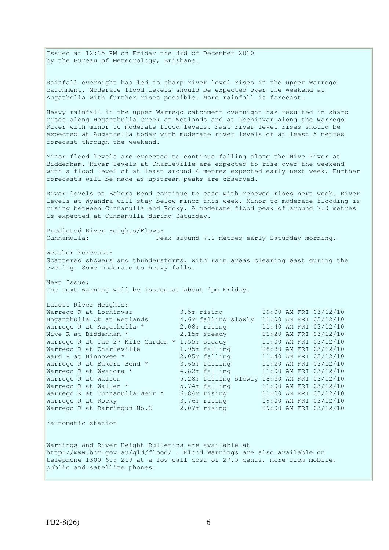Issued at 12:15 PM on Friday the 3rd of December 2010 by the Bureau of Meteorology, Brisbane.

Rainfall overnight has led to sharp river level rises in the upper Warrego catchment. Moderate flood levels should be expected over the weekend at Augathella with further rises possible. More rainfall is forecast.

Heavy rainfall in the upper Warrego catchment overnight has resulted in sharp rises along Hoganthulla Creek at Wetlands and at Lochinvar along the Warrego River with minor to moderate flood levels. Fast river level rises should be expected at Augathella today with moderate river levels of at least 5 metres forecast through the weekend.

Minor flood levels are expected to continue falling along the Nive River at Biddenham. River levels at Charleville are expected to rise over the weekend with a flood level of at least around 4 metres expected early next week. Further forecasts will be made as upstream peaks are observed.

River levels at Bakers Bend continue to ease with renewed rises next week. River levels at Wyandra will stay below minor this week. Minor to moderate flooding is rising between Cunnamulla and Rocky. A moderate flood peak of around 7.0 metres is expected at Cunnamulla during Saturday.

Predicted River Heights/Flows: Cunnamulla: Peak around 7.0 metres early Saturday morning.

Weather Forecast: Scattered showers and thunderstorms, with rain areas clearing east during the evening. Some moderate to heavy falls.

Next Issue: The next warning will be issued at about 4pm Friday.

| Latest River Heights:             |                     |                                            |
|-----------------------------------|---------------------|--------------------------------------------|
| Warrego R at Lochinvar            | 3.5m rising         | 09:00 AM FRI 03/12/10                      |
| Hoganthulla Ck at Wetlands        | 4.6m falling slowly | 11:00 AM FRI 03/12/10                      |
| Warrego R at Augathella *         | 2.08m rising        | 11:40 AM FRI 03/12/10                      |
| Nive R at Biddenham *             | 2.15m steady        | 11:20 AM FRI 03/12/10                      |
| Warrego R at The 27 Mile Garden * | 1.55m steady        | 11:00 AM FRI 03/12/10                      |
| Warrego R at Charleville          | 1.95m falling       | 08:30 AM FRI 03/12/10                      |
| Ward R at Binnowee *              | 2.05m falling       | 11:40 AM FRI 03/12/10                      |
| Warrego R at Bakers Bend *        | 3.65m falling       | 11:20 AM FRI 03/12/10                      |
| Warrego R at Wyandra *            | 4.82m falling       | 11:00 AM FRI 03/12/10                      |
| Warrego R at Wallen               |                     | 5.28m falling slowly 08:30 AM FRI 03/12/10 |
| Warrego R at Wallen *             | 5.74m falling       | 11:00 AM FRI 03/12/10                      |
| Warrego R at Cunnamulla Weir *    | 6.84m rising        | 11:00 AM FRI 03/12/10                      |
| Warrego R at Rocky                | 3.76m rising        | 09:00 AM FRI 03/12/10                      |
| Warrego R at Barringun No.2       | 2.07m rising        | 09:00 AM FRI 03/12/10                      |
|                                   |                     |                                            |
| *automatic station                |                     |                                            |

Warnings and River Height Bulletins are available at http://www.bom.gov.au/qld/flood/ . Flood Warnings are also available on telephone 1300 659 219 at a low call cost of 27.5 cents, more from mobile, public and satellite phones.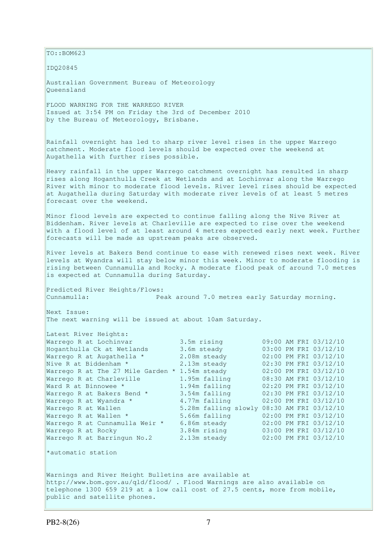TO::BOM623 IDQ20845 Australian Government Bureau of Meteorology Queensland FLOOD WARNING FOR THE WARREGO RIVER Issued at 3:54 PM on Friday the 3rd of December 2010 by the Bureau of Meteorology, Brisbane. Rainfall overnight has led to sharp river level rises in the upper Warrego catchment. Moderate flood levels should be expected over the weekend at Augathella with further rises possible. Heavy rainfall in the upper Warrego catchment overnight has resulted in sharp rises along Hoganthulla Creek at Wetlands and at Lochinvar along the Warrego River with minor to moderate flood levels. River level rises should be expected at Augathella during Saturday with moderate river levels of at least 5 metres forecast over the weekend. Minor flood levels are expected to continue falling along the Nive River at Biddenham. River levels at Charleville are expected to rise over the weekend with a flood level of at least around 4 metres expected early next week. Further forecasts will be made as upstream peaks are observed. River levels at Bakers Bend continue to ease with renewed rises next week. River levels at Wyandra will stay below minor this week. Minor to moderate flooding is rising between Cunnamulla and Rocky. A moderate flood peak of around 7.0 metres is expected at Cunnamulla during Saturday. Predicted River Heights/Flows: Cunnamulla: Peak around 7.0 metres early Saturday morning. Next Issue: The next warning will be issued at about 10am Saturday. Latest River Heights:<br>Warrego R at Lochinvar<br>Hoganthulla Ck at Wetlands Warrego R at Lochinvar 3.5m rising 09:00 AM FRI 03/12/10 Hoganthulla Ck at Wetlands 3.6m steady 03:00 PM FRI 03/12/10 Warrego R at Augathella  $*$  2.08m steady  $02:00$  PM FRI 03/12/10 Nive R at Biddenham \* 2.13m steady 02:30 PM FRI 03/12/10 Warrego R at The 27 Mile Garden \* 1.54m steady 02:00 PM FRI 03/12/10 Warrego R at Charleville 1.95m falling 08:30 AM FRI 03/12/10 Ward R at Binnowee \* 1.94m falling 02:20 PM FRI 03/12/10 Warrego R at Bakers Bend \* 3.54m falling 02:30 PM FRI 03/12/10 Warrego R at Wyandra \* 4.77m falling 02:00 PM FRI 03/12/10 Warrego R at Wallen 5.28m falling slowly 08:30 AM FRI 03/12/10 Warrego R at Wallen \* 5.66m falling 02:00 PM FRI 03/12/10 Warrego R at Cunnamulla Weir \* 6.86m steady 02:00 PM FRI 03/12/10 Warrego R at Rocky 3.84m rising 03:00 PM FRI 03/12/10 Warrego R at Barringun No.2 2.13m steady 02:00 PM FRI 03/12/10 \*automatic station Warnings and River Height Bulletins are available at http://www.bom.gov.au/qld/flood/ . Flood Warnings are also available on telephone 1300 659 219 at a low call cost of 27.5 cents, more from mobile, public and satellite phones.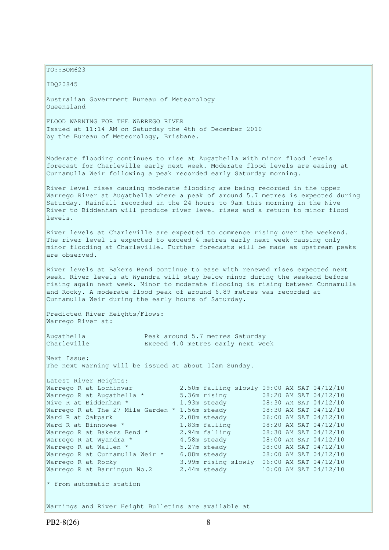$TO: **ROM623**$ 

IDQ20845

Australian Government Bureau of Meteorology Queensland

FLOOD WARNING FOR THE WARREGO RIVER Issued at 11:14 AM on Saturday the 4th of December 2010 by the Bureau of Meteorology, Brisbane.

Moderate flooding continues to rise at Augathella with minor flood levels forecast for Charleville early next week. Moderate flood levels are easing at Cunnamulla Weir following a peak recorded early Saturday morning.

River level rises causing moderate flooding are being recorded in the upper Warrego River at Augathella where a peak of around 5.7 metres is expected during Saturday. Rainfall recorded in the 24 hours to 9am this morning in the Nive River to Biddenham will produce river level rises and a return to minor flood levels.

River levels at Charleville are expected to commence rising over the weekend. The river level is expected to exceed 4 metres early next week causing only minor flooding at Charleville. Further forecasts will be made as upstream peaks are observed.

River levels at Bakers Bend continue to ease with renewed rises expected next week. River levels at Wyandra will stay below minor during the weekend before rising again next week. Minor to moderate flooding is rising between Cunnamulla and Rocky. A moderate flood peak of around 6.89 metres was recorded at Cunnamulla Weir during the early hours of Saturday.

Predicted River Heights/Flows: Warrego River at:

Latest River Heights:

Augathella Peak around 5.7 metres Saturday Charleville Exceed 4.0 metres early next week

Next Issue: The next warning will be issued at about 10am Sunday.

| Parest kiver heidurs:             |                                            |  |                       |
|-----------------------------------|--------------------------------------------|--|-----------------------|
| Warrego R at Lochinvar            | 2.50m falling slowly 09:00 AM SAT 04/12/10 |  |                       |
| Warrego R at Augathella *         | 5.36m rising                               |  | 08:20 AM SAT 04/12/10 |
| Nive R at Biddenham *             | 1.93m steady                               |  | 08:30 AM SAT 04/12/10 |
| Warrego R at The 27 Mile Garden * | 1.56m steady                               |  | 08:30 AM SAT 04/12/10 |
| Ward R at Oakpark                 | 2.00m steady                               |  | 06:00 AM SAT 04/12/10 |
| Ward R at Binnowee *              | 1.83m falling                              |  | 08:20 AM SAT 04/12/10 |
| Warrego R at Bakers Bend *        | 2.94m falling                              |  | 08:30 AM SAT 04/12/10 |
| Warrego R at Wyandra *            | 4.58m steady                               |  | 08:00 AM SAT 04/12/10 |
| Warrego R at Wallen *             | 5.27m steady                               |  | 08:00 AM SAT 04/12/10 |
| Warrego R at Cunnamulla Weir *    | 6.88m steady                               |  | 08:00 AM SAT 04/12/10 |
| Warrego R at Rocky                | 3.99m rising slowly                        |  | 06:00 AM SAT 04/12/10 |
| Warrego R at Barringun No.2       | 2.44m steady                               |  | 10:00 AM SAT 04/12/10 |
| * from automatic station          |                                            |  |                       |

Warnings and River Height Bulletins are available at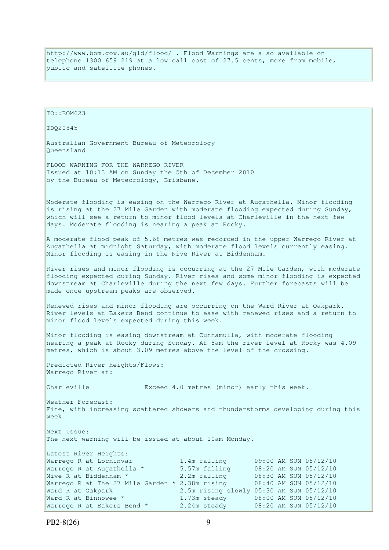http://www.bom.gov.au/qld/flood/ . Flood Warnings are also available on telephone 1300 659 219 at a low call cost of 27.5 cents, more from mobile, public and satellite phones.

 $TO: **ROM623**$ IDQ20845 Australian Government Bureau of Meteorology Queensland FLOOD WARNING FOR THE WARREGO RIVER Issued at 10:13 AM on Sunday the 5th of December 2010 by the Bureau of Meteorology, Brisbane. Moderate flooding is easing on the Warrego River at Augathella. Minor flooding is rising at the 27 Mile Garden with moderate flooding expected during Sunday, which will see a return to minor flood levels at Charleville in the next few days. Moderate flooding is nearing a peak at Rocky. A moderate flood peak of 5.68 metres was recorded in the upper Warrego River at Augathella at midnight Saturday, with moderate flood levels currently easing. Minor flooding is easing in the Nive River at Biddenham. River rises and minor flooding is occurring at the 27 Mile Garden, with moderate flooding expected during Sunday. River rises and some minor flooding is expected downstream at Charleville during the next few days. Further forecasts will be made once upstream peaks are observed. Renewed rises and minor flooding are occurring on the Ward River at Oakpark. River levels at Bakers Bend continue to ease with renewed rises and a return to minor flood levels expected during this week. Minor flooding is easing downstream at Cunnamulla, with moderate flooding nearing a peak at Rocky during Sunday. At 8am the river level at Rocky was 4.09 metres, which is about 3.09 metres above the level of the crossing. Predicted River Heights/Flows: Warrego River at: Charleville Exceed 4.0 metres (minor) early this week. Weather Forecast: Fine, with increasing scattered showers and thunderstorms developing during this week. Next Issue: The next warning will be issued at about 10am Monday. Latest River Heights: Warrego R at Lochinvar 1.4m falling 09:00 AM SUN 05/12/10<br>Warrego R at Augathella \* 5.57m falling 08:20 AM SUN 05/12/10 Warrego R at Augathella \* 5.57m falling 08:20 AM SUN 05/12/10 Nive R at Biddenham \* 2.2m falling 08:30 AM SUN 05/12/10 Warrego R at The 27 Mile Garden \* 2.38m rising 08:40 AM SUN 05/12/10 Ward R at Oakpark 2.5m rising slowly 05:30 AM SUN 05/12/10 Ward R at Binnowee \* 1.73m steady  $\frac{3}{2}$  08:00 AM SUN 05/12/10<br>Warrego R at Bakers Bend \* 2.24m steady 08:20 AM SUN 05/12/10 Warrego R at Bakers Bend \* 2.24m steady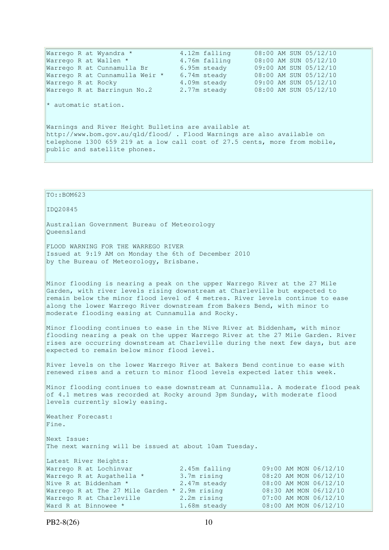Warrego R at Wyandra \* 4.12m falling 08:00 AM SUN 05/12/10 Warrego R at Wallen \* 4.76m falling 08:00 AM SUN 05/12/10 Warrego R at Cunnamulla Br 6.95m steady 09:00 AM SUN 05/12/10 Warrego R at Cunnamulla Weir \* 6.74m steady 08:00 AM SUN 05/12/10 Warrego R at Rocky 4.09m steady 09:00 AM SUN 05/12/10 Warrego R at Barringun No.2 2.77m steady 08:00 AM SUN 05/12/10 \* automatic station. Warnings and River Height Bulletins are available at http://www.bom.gov.au/qld/flood/ . Flood Warnings are also available on telephone 1300 659 219 at a low call cost of 27.5 cents, more from mobile, public and satellite phones.

```
TO::BOM623 
IDQ20845 
Australian Government Bureau of Meteorology 
Queensland 
FLOOD WARNING FOR THE WARREGO RIVER 
Issued at 9:19 AM on Monday the 6th of December 2010 
by the Bureau of Meteorology, Brisbane.
Minor flooding is nearing a peak on the upper Warrego River at the 27 Mile 
Garden, with river levels rising downstream at Charleville but expected to 
remain below the minor flood level of 4 metres. River levels continue to ease 
along the lower Warrego River downstream from Bakers Bend, with minor to 
moderate flooding easing at Cunnamulla and Rocky. 
Minor flooding continues to ease in the Nive River at Biddenham, with minor 
flooding nearing a peak on the upper Warrego River at the 27 Mile Garden. River 
rises are occurring downstream at Charleville during the next few days, but are 
expected to remain below minor flood level.
River levels on the lower Warrego River at Bakers Bend continue to ease with 
renewed rises and a return to minor flood levels expected later this week. 
Minor flooding continues to ease downstream at Cunnamulla. A moderate flood peak 
of 4.1 metres was recorded at Rocky around 3pm Sunday, with moderate flood
levels currently slowly easing. 
Weather Forecast: 
Fine. 
Next Issue: 
The next warning will be issued at about 10am Tuesday. 
Latest River Heights: 
Warrego R at Lochinvar 2.45m falling 09:00 AM MON 06/12/10<br>Warrego R at Augathella * 3.7m rising 08:20 AM MON 06/12/10
Warrego R at Augathella * 3.7m rising 08:20 AM MON 06/12/10 
Nive R at Biddenham * 2.47m steady 08:00 AM MON 06/12/10 
Warrego R at The 27 Mile Garden * 2.9m rising 08:30 AM MON 06/12/10 
Warrego R at Charleville 2.2m rising 07:00 AM MON 06/12/10 
Ward R at Binnowee * 1.68m steady 08:00 AM MON 06/12/10
```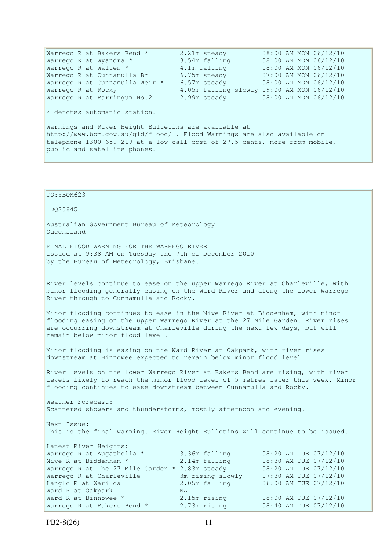Warrego R at Bakers Bend  $*$  2.21m steady  $08:00$  AM MON  $06/12/10$ Warrego R at Wyandra \* 3.54m falling 08:00 AM MON 06/12/10 Warrego R at Wallen \* 4.1m falling 08:00 AM MON 06/12/10 Warrego R at Cunnamulla Br 6.75m steady 07:00 AM MON 06/12/10 Warrego R at Cunnamulla Weir \* 6.57m steady 08:00 AM MON 06/12/10 Warrego R at Rocky 4.05m falling slowly 09:00 AM MON 06/12/10 Warrego R at Barringun No.2 2.99m steady 08:00 AM MON 06/12/10  $*$  denotes automatic station. Warnings and River Height Bulletins are available at http://www.bom.gov.au/qld/flood/ . Flood Warnings are also available on telephone 1300 659 219 at a low call cost of 27.5 cents, more from mobile, public and satellite phones.

TO::BOM623 IDQ20845 Australian Government Bureau of Meteorology Queensland FINAL FLOOD WARNING FOR THE WARREGO RIVER Issued at 9:38 AM on Tuesday the 7th of December 2010 by the Bureau of Meteorology, Brisbane. River levels continue to ease on the upper Warrego River at Charleville, with minor flooding generally easing on the Ward River and along the lower Warrego River through to Cunnamulla and Rocky. Minor flooding continues to ease in the Nive River at Biddenham, with minor flooding easing on the upper Warrego River at the 27 Mile Garden. River rises are occurring downstream at Charleville during the next few days, but will remain below minor flood level. Minor flooding is easing on the Ward River at Oakpark, with river rises downstream at Binnowee expected to remain below minor flood level. River levels on the lower Warrego River at Bakers Bend are rising, with river levels likely to reach the minor flood level of 5 metres later this week. Minor flooding continues to ease downstream between Cunnamulla and Rocky. Weather Forecast: Scattered showers and thunderstorms, mostly afternoon and evening. Next Issue: This is the final warning. River Height Bulletins will continue to be issued. Latest River Heights: Warrego R at Augathella \* 3.36m falling 08:20 AM TUE 07/12/10 Nive R at Biddenham \* 3.14m falling 08:30 AM TUE 07/12/10 Warrego R at The 27 Mile Garden  $*$  2.83m steady  $0.8:20$  AM TUE 07/12/10 Warrego R at Charleville 3m rising slowly 07:30 AM TUE 07/12/10 Langlo R at Warilda 2.05m falling 06:00 AM TUE 07/12/10 Ward R at Oakpark NA Ward R at Binnowee \* 2.15m rising 08:00 AM TUE 07/12/10 Warrego R at Bakers Bend \* 2.73m rising 08:40 AM TUE 07/12/10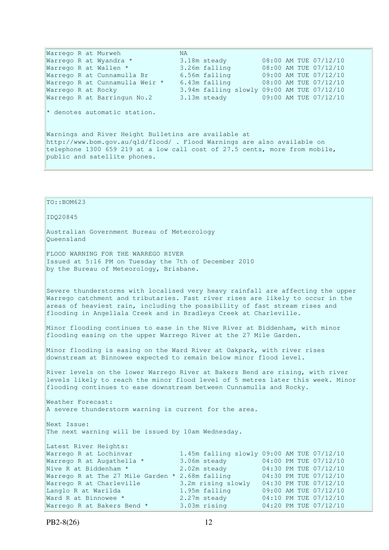Warrego R at Murweh NA<br>Warrego R at Wyandra \* 3.1 Warrego R at Wyandra \* 3.18m steady 08:00 AM TUE 07/12/10 Warrego R at Wallen \* 3.26m falling 08:00 AM TUE 07/12/10 Warrego R at Cunnamulla Br 6.56m falling 09:00 AM TUE 07/12/10 Warrego R at Cunnamulla Weir \* 6.43m falling 08:00 AM TUE 07/12/10 Warrego R at Rocky 3.94m falling slowly 09:00 AM TUE 07/12/10 Warrego R at Barringun No.2 3.13m steady 09:00 AM TUE 07/12/10  $*$  denotes automatic station. Warnings and River Height Bulletins are available at http://www.bom.gov.au/qld/flood/ . Flood Warnings are also available on telephone 1300 659 219 at a low call cost of 27.5 cents, more from mobile, public and satellite phones.

TO::BOM623 IDQ20845 Australian Government Bureau of Meteorology Queensland FLOOD WARNING FOR THE WARREGO RIVER Issued at 5:16 PM on Tuesday the 7th of December 2010 by the Bureau of Meteorology, Brisbane. Severe thunderstorms with localised very heavy rainfall are affecting the upper Warrego catchment and tributaries. Fast river rises are likely to occur in the areas of heaviest rain, including the possibility of fast stream rises and flooding in Angellala Creek and in Bradleys Creek at Charleville. Minor flooding continues to ease in the Nive River at Biddenham, with minor flooding easing on the upper Warrego River at the 27 Mile Garden. Minor flooding is easing on the Ward River at Oakpark, with river rises downstream at Binnowee expected to remain below minor flood level. River levels on the lower Warrego River at Bakers Bend are rising, with river levels likely to reach the minor flood level of 5 metres later this week. Minor flooding continues to ease downstream between Cunnamulla and Rocky. Weather Forecast: A severe thunderstorm warning is current for the area. Next Issue: The next warning will be issued by 10am Wednesday. Latest River Heights: Warrego R at Lochinvar 1.45m falling slowly 09:00 AM TUE 07/12/10 Warrego R at Augathella \* 3.06m steady 04:00 PM TUE 07/12/10 Nive R at Biddenham \* 2.02m steady 04:30 PM TUE 07/12/10 Warrego R at The 27 Mile Garden  $*$  2.68m falling  $04:30$  PM TUE 07/12/10 Warrego R at Charleville 3.2m rising slowly 04:30 PM TUE 07/12/10 Langlo R at Warilda 1.95m falling 09:00 AM TUE 07/12/10 Ward R at Binnowee \* 2.27m steady 04:10 PM TUE 07/12/10 Warrego R at Bakers Bend \* 3.03m rising 04:20 PM TUE 07/12/10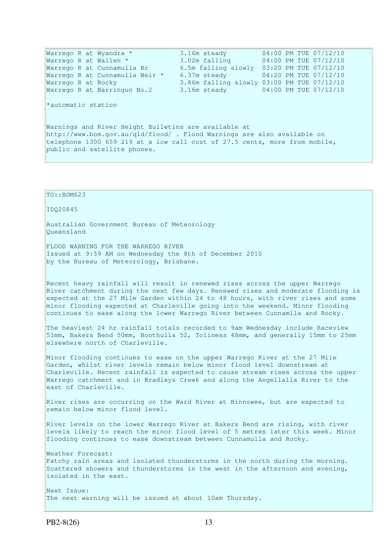Warrego R at Wyandra \* 3.16m steady 04:00 PM TUE 07/12/10<br>Warrego R at Wallen \* 3.02m falling 04:00 PM TUE 07/12/10 Warrego R at Wallen \* 3.02m falling 04:00 PM TUE 07/12/10 Warrego R at Cunnamulla Br 6.5m falling slowly 03:20 PM TUE 07/12/10 Warrego R at Cunnamulla Weir \* 6.37m steady 04:20 PM TUE 07/12/10 Warrego R at Rocky 3.86m falling slowly 03:00 PM TUE 07/12/10 Warrego R at Barringun No.2 3.16m steady 04:00 PM TUE 07/12/10 \*automatic station Warnings and River Height Bulletins are available at http://www.bom.gov.au/qld/flood/ . Flood Warnings are also available on telephone 1300 659 219 at a low call cost of 27.5 cents, more from mobile, public and satellite phones.

PB2-8(26) 13

TO::BOM623

Queensland

Australian Government Bureau of Meteorology

Issued at 9:59 AM on Wednesday the 8th of December 2010

FLOOD WARNING FOR THE WARREGO RIVER

by the Bureau of Meteorology, Brisbane.

IDQ20845

Recent heavy rainfall will result in renewed rises across the upper Warrego River catchment during the next few days. Renewed rises and moderate flooding is expected at the 27 Mile Garden within 24 to 48 hours, with river rises and some minor flooding expected at Charleville going into the weekend. Minor flooding continues to ease along the lower Warrego River between Cunnamlla and Rocky.

The heaviest 24 hr rainfall totals recorded to 9am Wednesday include Raceview 51mm, Bakers Bend 50mm, Boothulla 52, Toliness 48mm, and generally 15mm to 25mm elsewhere north of Charleville.

Minor flooding continues to ease on the upper Warrego River at the 27 Mile Garden, whilst river levels remain below minor flood level downstream at Charleville. Recent rainfall is expected to cause stream rises across the upper Warrego catchment and in Bradleys Creek and along the Angellalla River to the east of Charleville.

River rises are occurring on the Ward River at Binnowee, but are expected to remain below minor flood level.

River levels on the lower Warrego River at Bakers Bend are rising, with river levels likely to reach the minor flood level of 5 metres later this week. Minor flooding continues to ease downstream between Cunnamulla and Rocky.

Weather Forecast: Patchy rain areas and isolated thunderstorms in the north during the morning. Scattered showers and thunderstorms in the west in the afternoon and evening, isolated in the east.

Next Issue: The next warning will be issued at about 10am Thursday.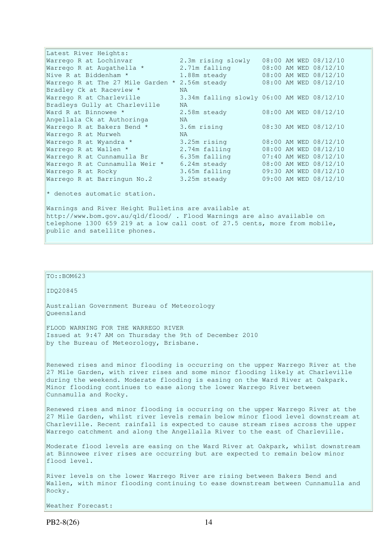Latest River Heights: Warrego R at Lochinvar 2.3m rising slowly 08:00 AM WED 08/12/10 Warrego R at Augathella \* 2.71m falling 08:00 AM WED 08/12/10 Nive R at Biddenham \* 1.88m steady 08:00 AM WED 08/12/10 Nive R at Biddenham \* 1.88m steady 08:00 AM WED 08/12/10<br>Warrego R at The 27 Mile Garden \* 2.56m steady 08:00 AM WED 08/12/10 Bradley Ck at Raceview \* NA 3.34m falling slowly 06:00 AM WED 08/12/10 Bradleys Gully at Charleville NA Ward R at Binnowee \* 2.58m steady 08:00 AM WED 08/12/10 Angellala Ck at Authoringa NA Warrego R at Bakers Bend \* 3.6m rising 08:30 AM WED 08/12/10 Warrego R at Murweh NA Warrego R at Wyandra \* 3.25m rising 08:00 AM WED 08/12/10<br>Warrego R at Wallen \* 2.74m falling 08:00 AM WED 08/12/10<br>Warrego R at Cunnamulla Br 6.35m falling 07:40 AM WED 08/12/10 Warrego R at Wallen \* 2.74m falling 08:00 AM WED 08/12/10 Warrego R at Cunnamulla Br 6.35m falling 07:40 AM WED 08/12/10 Warrego R at Cunnamulla Weir \* 6.24m steady 08:00 AM WED 08/12/10 Warrego R at Rocky 3.65m falling 09:30 AM WED 08/12/10 Warrego R at Barringun No.2 3.25m steady 09:00 AM WED 08/12/10  $*$  denotes automatic station.

Warnings and River Height Bulletins are available at http://www.bom.gov.au/qld/flood/ . Flood Warnings are also available on telephone 1300 659 219 at a low call cost of 27.5 cents, more from mobile, public and satellite phones.

#### TO::BOM623

IDQ20845

Australian Government Bureau of Meteorology Queensland

FLOOD WARNING FOR THE WARREGO RIVER Issued at 9:47 AM on Thursday the 9th of December 2010 by the Bureau of Meteorology, Brisbane.

Renewed rises and minor flooding is occurring on the upper Warrego River at the 27 Mile Garden, with river rises and some minor flooding likely at Charleville during the weekend. Moderate flooding is easing on the Ward River at Oakpark. Minor flooding continues to ease along the lower Warrego River between Cunnamulla and Rocky.

Renewed rises and minor flooding is occurring on the upper Warrego River at the 27 Mile Garden, whilst river levels remain below minor flood level downstream at Charleville. Recent rainfall is expected to cause stream rises across the upper Warrego catchment and along the Angellalla River to the east of Charleville.

Moderate flood levels are easing on the Ward River at Oakpark, whilst downstream at Binnowee river rises are occurring but are expected to remain below minor flood level.

River levels on the lower Warrego River are rising between Bakers Bend and Wallen, with minor flooding continuing to ease downstream between Cunnamulla and Rocky.

Weather Forecast: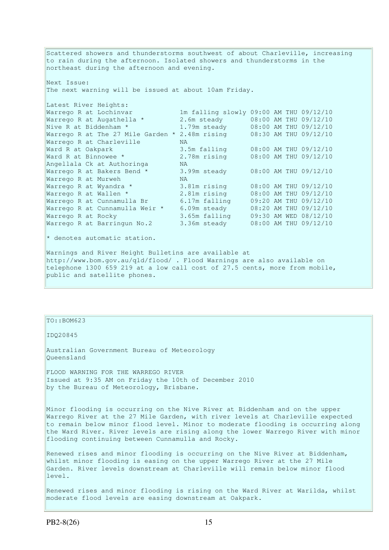Scattered showers and thunderstorms southwest of about Charleville, increasing to rain during the afternoon. Isolated showers and thunderstorms in the northeast during the afternoon and evening.

Next Issue: The next warning will be issued at about 10am Friday.

| Latest River Heights:                                |                                         |  |  |  |                       |
|------------------------------------------------------|-----------------------------------------|--|--|--|-----------------------|
| Warrego R at Lochinvar                               | 1m falling slowly 09:00 AM THU 09/12/10 |  |  |  |                       |
| Warrego R at Augathella *                            | 2.6m steady                             |  |  |  | 08:00 AM THU 09/12/10 |
| Nive R at Biddenham *                                | 1.79m steady                            |  |  |  | 08:00 AM THU 09/12/10 |
| Warrego R at The 27 Mile Garden $*$ 2.48m rising     |                                         |  |  |  | 08:30 AM THU 09/12/10 |
| Warrego R at Charleville                             | NA.                                     |  |  |  |                       |
| Ward R at Oakpark                                    | 3.5m falling                            |  |  |  | 08:00 AM THU 09/12/10 |
| Ward R at Binnowee *                                 | 2.78m rising                            |  |  |  | 08:00 AM THU 09/12/10 |
| Angellala Ck at Authoringa                           | NA.                                     |  |  |  |                       |
| Warrego R at Bakers Bend *                           | 3.99m steady                            |  |  |  | 08:00 AM THU 09/12/10 |
| Warrego R at Murweh                                  | NA.                                     |  |  |  |                       |
| Warrego R at Wyandra *                               | 3.81m rising                            |  |  |  | 08:00 AM THU 09/12/10 |
| Warrego R at Wallen *                                | 2.81m rising                            |  |  |  | 08:00 AM THU 09/12/10 |
| Warrego R at Cunnamulla Br                           | 6.17m falling                           |  |  |  | 09:20 AM THU 09/12/10 |
| Warrego R at Cunnamulla Weir *                       | 6.09m steady                            |  |  |  | 08:20 AM THU 09/12/10 |
| Warrego R at Rocky                                   | 3.65m falling                           |  |  |  | 09:30 AM WED 08/12/10 |
| Warrego R at Barringun No.2                          | 3.36m steady                            |  |  |  | 08:00 AM THU 09/12/10 |
| * denotes automatic station.                         |                                         |  |  |  |                       |
| Warnings and River Height Bulletins are available at |                                         |  |  |  |                       |

http://www.bom.gov.au/qld/flood/ . Flood Warnings are also available on telephone 1300 659 219 at a low call cost of 27.5 cents, more from mobile, public and satellite phones.

#### $TO: **ROM623**$

IDQ20845

Australian Government Bureau of Meteorology Queensland

FLOOD WARNING FOR THE WARREGO RIVER Issued at 9:35 AM on Friday the 10th of December 2010 by the Bureau of Meteorology, Brisbane.

Minor flooding is occurring on the Nive River at Biddenham and on the upper Warrego River at the 27 Mile Garden, with river levels at Charleville expected to remain below minor flood level. Minor to moderate flooding is occurring along the Ward River. River levels are rising along the lower Warrego River with minor flooding continuing between Cunnamulla and Rocky.

Renewed rises and minor flooding is occurring on the Nive River at Biddenham, whilst minor flooding is easing on the upper Warrego River at the 27 Mile Garden. River levels downstream at Charleville will remain below minor flood level.

Renewed rises and minor flooding is rising on the Ward River at Warilda, whilst moderate flood levels are easing downstream at Oakpark.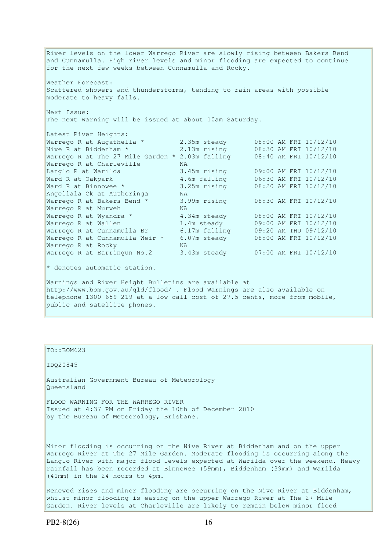River levels on the lower Warrego River are slowly rising between Bakers Bend and Cunnamulla. High river levels and minor flooding are expected to continue for the next few weeks between Cunnamulla and Rocky. Weather Forecast: Scattered showers and thunderstorms, tending to rain areas with possible moderate to heavy falls. Next Issue: The next warning will be issued at about 10am Saturday. Latest River Heights: Warrego R at Augathella  $*$  2.35m steady 08:00 AM FRI 10/12/10 Nive R at Biddenham \* 2.13m rising 08:30 AM FRI 10/12/10 Warrego R at The 27 Mile Garden \* 2.03m falling 08:40 AM FRI 10/12/10 Warrego R at Charleville MA Langlo R at Warilda 3.45m rising 09:00 AM FRI 10/12/10 Ward R at Oakpark 4.6m falling 06:30 AM FRI 10/12/10 Ward R at Binnowee \* 3.25m rising 08:20 AM FRI 10/12/10 Angellala Ck at Authoringa NA Warrego R at Bakers Bend \* 3.99m rising 08:30 AM FRI 10/12/10 Warrego R at Murweh NA<br>Warrego R at Wyandra \* 4. Warrego R at Wyandra \* 4.34m steady 08:00 AM FRI 10/12/10 Warrego R at Wallen 1.4m steady 09:00 AM FRI 10/12/10 Warrego R at Cunnamulla Br 6.17m falling 09:20 AM THU 09/12/10 Warrego R at Cunnamulla Weir \* 6.07m steady 08:00 AM FRI 10/12/10 Warrego R at Rocky NA Warrego K at KOCKY<br>Warrego R at Barringun No.2 3.43m steady 07:00 AM FRI 10/12/10  $*$  denotes automatic station. Warnings and River Height Bulletins are available at http://www.bom.gov.au/qld/flood/ . Flood Warnings are also available on telephone 1300 659 219 at a low call cost of 27.5 cents, more from mobile,

public and satellite phones.

TO::BOM623

IDQ20845

Australian Government Bureau of Meteorology Queensland

FLOOD WARNING FOR THE WARREGO RIVER Issued at 4:37 PM on Friday the 10th of December 2010 by the Bureau of Meteorology, Brisbane.

Minor flooding is occurring on the Nive River at Biddenham and on the upper Warrego River at The 27 Mile Garden. Moderate flooding is occurring along the Langlo River with major flood levels expected at Warilda over the weekend. Heavy rainfall has been recorded at Binnowee (59mm), Biddenham (39mm) and Warilda (41mm) in the 24 hours to 4pm.

Renewed rises and minor flooding are occurring on the Nive River at Biddenham, whilst minor flooding is easing on the upper Warrego River at The 27 Mile Garden. River levels at Charleville are likely to remain below minor flood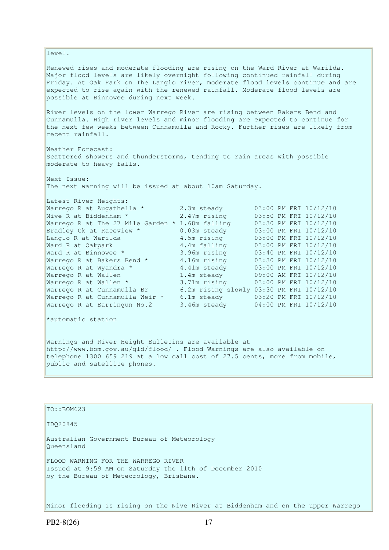level. Renewed rises and moderate flooding are rising on the Ward River at Warilda. Major flood levels are likely overnight following continued rainfall during Friday. At Oak Park on The Langlo river, moderate flood levels continue and are expected to rise again with the renewed rainfall. Moderate flood levels are possible at Binnowee during next week. River levels on the lower Warrego River are rising between Bakers Bend and Cunnamulla. High river levels and minor flooding are expected to continue for the next few weeks between Cunnamulla and Rocky. Further rises are likely from recent rainfall. Weather Forecast: Scattered showers and thunderstorms, tending to rain areas with possible moderate to heavy falls. Next Issue: The next warning will be issued at about 10am Saturday. Latest River Heights: Warrego R at Augathella \* 2.3m steady 03:00 PM FRI 10/12/10 Nive R at Biddenham \* 2.47m rising 03:50 PM FRI 10/12/10 Warrego R at The 27 Mile Garden \* 1.68m falling 03:30 PM FRI 10/12/10 Bradley Ck at Raceview \* 0.03m steady 03:00 PM FRI 10/12/10 Langlo R at Warilda 4.5m rising 03:00 PM FRI 10/12/10 Ward R at Oakpark 4.4m falling 03:00 PM FRI 10/12/10 Ward R at Binnowee \* 3.96m rising 03:40 PM FRI 10/12/10 Warrego R at Bakers Bend  $*$  4.16m rising  $03:30$  PM FRI  $10/12/10$ Warrego R at Wyandra \* 4.41m steady 03:00 PM FRI 10/12/10 Warrego R at Wallen 1.4m steady 09:00 AM FRI 10/12/10 Warrego R at Wallen \* 3.71m rising 03:00 PM FRI 10/12/10 Warrego R at Cunnamulla Br 6.2m rising slowly 03:30 PM FRI 10/12/10 Warrego R at Cunnamulla Weir \* 6.1m steady 03:20 PM FRI 10/12/10 Warrego R at Barringun No.2 3.46m steady 04:00 PM FRI 10/12/10 \*automatic station Warnings and River Height Bulletins are available at http://www.bom.gov.au/qld/flood/ . Flood Warnings are also available on telephone 1300 659 219 at a low call cost of 27.5 cents, more from mobile,

TO::BOM623

public and satellite phones.

IDQ20845

Australian Government Bureau of Meteorology Queensland

FLOOD WARNING FOR THE WARREGO RIVER Issued at 9:59 AM on Saturday the 11th of December 2010 by the Bureau of Meteorology, Brisbane.

Minor flooding is rising on the Nive River at Biddenham and on the upper Warrego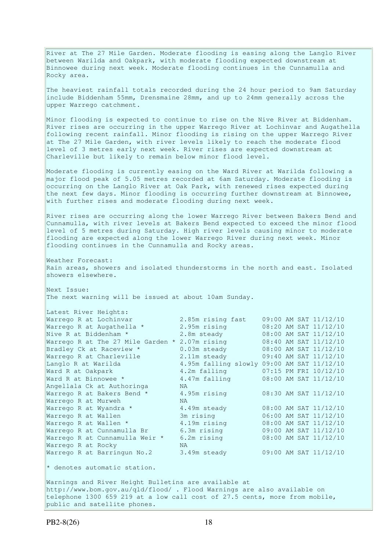River at The 27 Mile Garden. Moderate flooding is easing along the Langlo River between Warilda and Oakpark, with moderate flooding expected downstream at Binnowee during next week. Moderate flooding continues in the Cunnamulla and Rocky area.

The heaviest rainfall totals recorded during the 24 hour period to 9am Saturday include Biddenham 55mm, Drensmaine 28mm, and up to 24mm generally across the upper Warrego catchment.

Minor flooding is expected to continue to rise on the Nive River at Biddenham. River rises are occurring in the upper Warrego River at Lochinvar and Augathella following recent rainfall. Minor flooding is rising on the upper Warrego River at The 27 Mile Garden, with river levels likely to reach the moderate flood level of 3 metres early next week. River rises are expected downstream at Charleville but likely to remain below minor flood level.

Moderate flooding is currently easing on the Ward River at Warilda following a major flood peak of 5.05 metres recorded at 6am Saturday. Moderate flooding is occurring on the Langlo River at Oak Park, with renewed rises expected during the next few days. Minor flooding is occurring further downstream at Binnowee, with further rises and moderate flooding during next week.

River rises are occurring along the lower Warrego River between Bakers Bend and Cunnamulla, with river levels at Bakers Bend expected to exceed the minor flood level of 5 metres during Saturday. High river levels causing minor to moderate flooding are expected along the lower Warrego River during next week. Minor flooding continues in the Cunnamulla and Rocky areas.

Weather Forecast: Rain areas, showers and isolated thunderstorms in the north and east. Isolated showers elsewhere.

Next Issue: The next warning will be issued at about 10am Sunday.

| Latest River Heights:                          |                                            |  |                       |
|------------------------------------------------|--------------------------------------------|--|-----------------------|
| Warrego R at Lochinvar                         | 2.85m rising fast                          |  | 09:00 AM SAT 11/12/10 |
| Warrego R at Augathella *                      | 2.95m rising                               |  | 08:20 AM SAT 11/12/10 |
| Nive R at Biddenham *                          | 2.8m steady                                |  | 08:00 AM SAT 11/12/10 |
| Warrego R at The 27 Mile Garden * 2.07m rising |                                            |  | 08:40 AM SAT 11/12/10 |
| Bradley Ck at Raceview *                       | 0.03m steady                               |  | 08:00 AM SAT 11/12/10 |
| Warrego R at Charleville                       | 2.11m steady                               |  | 09:40 AM SAT 11/12/10 |
| Langlo R at Warilda                            | 4.95m falling slowly 09:00 AM SAT 11/12/10 |  |                       |
| Ward R at Oakpark                              | 4.2m falling                               |  | 07:15 PM FRI 10/12/10 |
| Ward R at Binnowee *                           | 4.47m falling                              |  | 08:00 AM SAT 11/12/10 |
| Angellala Ck at Authoringa                     | NA.                                        |  |                       |
| Warrego R at Bakers Bend *                     | 4.95m rising                               |  | 08:30 AM SAT 11/12/10 |
| Warrego R at Murweh                            | <b>NA</b>                                  |  |                       |
| Warrego R at Wyandra *                         | 4.49m steady                               |  | 08:00 AM SAT 11/12/10 |
| Warrego R at Wallen                            | 3m rising                                  |  | 06:00 AM SAT 11/12/10 |
| Warrego R at Wallen *                          | 4.19m rising                               |  | 08:00 AM SAT 11/12/10 |
| Warrego R at Cunnamulla Br                     | 6.3m rising                                |  | 09:00 AM SAT 11/12/10 |
| Warrego R at Cunnamulla Weir *                 | 6.2m rising                                |  | 08:00 AM SAT 11/12/10 |
| Warrego R at Rocky                             | NA.                                        |  |                       |
| Warrego R at Barringun No.2                    | 3.49m steady                               |  | 09:00 AM SAT 11/12/10 |
|                                                |                                            |  |                       |

 $*$  denotes automatic station.

Warnings and River Height Bulletins are available at http://www.bom.gov.au/qld/flood/ . Flood Warnings are also available on telephone 1300 659 219 at a low call cost of 27.5 cents, more from mobile, public and satellite phones.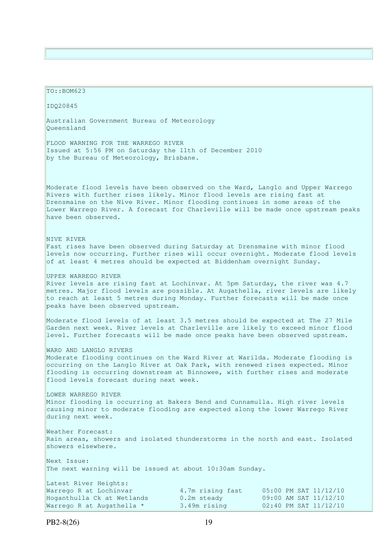TO::BOM623 IDQ20845 Australian Government Bureau of Meteorology Queensland FLOOD WARNING FOR THE WARREGO RIVER Issued at 5:56 PM on Saturday the 11th of December 2010 by the Bureau of Meteorology, Brisbane. Moderate flood levels have been observed on the Ward, Langlo and Upper Warrego Rivers with further rises likely. Minor flood levels are rising fast at Drensmaine on the Nive River. Minor flooding continues in some areas of the Lower Warrego River. A forecast for Charleville will be made once upstream peaks have been observed. NIVE RIVER Fast rises have been observed during Saturday at Drensmaine with minor flood levels now occurring. Further rises will occur overnight. Moderate flood levels of at least 4 metres should be expected at Biddenham overnight Sunday. UPPER WARREGO RIVER River levels are rising fast at Lochinvar. At 5pm Saturday, the river was 4.7 metres. Major flood levels are possible. At Augathella, river levels are likely to reach at least 5 metres during Monday. Further forecasts will be made once peaks have been observed upstream. Moderate flood levels of at least 3.5 metres should be expected at The 27 Mile Garden next week. River levels at Charleville are likely to exceed minor flood level. Further forecasts will be made once peaks have been observed upstream. WARD AND LANGLO RIVERS Moderate flooding continues on the Ward River at Warilda. Moderate flooding is occurring on the Langlo River at Oak Park, with renewed rises expected. Minor flooding is occurring downstream at Binnowee, with further rises and moderate flood levels forecast during next week. LOWER WARREGO RIVER Minor flooding is occurring at Bakers Bend and Cunnamulla. High river levels causing minor to moderate flooding are expected along the lower Warrego River during next week. Weather Forecast: Rain areas, showers and isolated thunderstorms in the north and east. Isolated showers elsewhere. Next Issue: The next warning will be issued at about 10:30am Sunday. Latest River Heights: Warrego R at Lochinvar 4.7m rising fast 05:00 PM SAT 11/12/10 Hoganthulla Ck at Wetlands 0.2m steady 09:00 AM SAT 11/12/10 Warrego R at Augathella  $*$  3.49m rising 02:40 PM SAT  $11/12/10$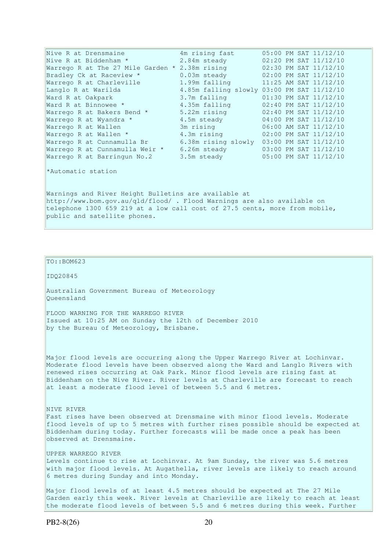| Nive R at Drensmaine                                                                                                                                                                                                                          | 4m rising fast                      | 05:00 PM SAT 11/12/10                      |  |  |  |  |
|-----------------------------------------------------------------------------------------------------------------------------------------------------------------------------------------------------------------------------------------------|-------------------------------------|--------------------------------------------|--|--|--|--|
| Nive R at Biddenham *                                                                                                                                                                                                                         | 2.84m steady                        | 02:20 PM SAT 11/12/10                      |  |  |  |  |
| Warrego R at The 27 Mile Garden $*$ 2.38m rising                                                                                                                                                                                              |                                     | 02:30 PM SAT 11/12/10                      |  |  |  |  |
| Bradley Ck at Raceview *                                                                                                                                                                                                                      | 0.03m steady                        | 02:00 PM SAT 11/12/10                      |  |  |  |  |
| Warrego R at Charleville                                                                                                                                                                                                                      | 1.99m falling                       | $11:25$ AM SAT $11/12/10$                  |  |  |  |  |
| Langlo R at Warilda                                                                                                                                                                                                                           |                                     | 4.85m falling slowly 03:00 PM SAT 11/12/10 |  |  |  |  |
| Ward R at Oakpark                                                                                                                                                                                                                             | 3.7m falling                        | $01:30$ PM SAT $11/12/10$                  |  |  |  |  |
| Ward R at Binnowee *                                                                                                                                                                                                                          | 4.35m falling                       | 02:40 PM SAT 11/12/10                      |  |  |  |  |
| Warrego R at Bakers Bend *                                                                                                                                                                                                                    | 5.22m rising                        | $02:40$ PM SAT $11/12/10$                  |  |  |  |  |
| Warrego R at Wyandra *                                                                                                                                                                                                                        | 4.5m steady                         | 04:00 PM SAT 11/12/10                      |  |  |  |  |
| Warrego R at Wallen                                                                                                                                                                                                                           | 3m rising the state of the San Song | 06:00 AM SAT 11/12/10                      |  |  |  |  |
| Warrego R at Wallen *                                                                                                                                                                                                                         |                                     | 4.3m rising 02:00 PM SAT 11/12/10          |  |  |  |  |
| Warrego R at Cunnamulla Br                                                                                                                                                                                                                    |                                     | 6.38m rising slowly 03:00 PM SAT 11/12/10  |  |  |  |  |
| Warrego R at Cunnamulla Weir *                                                                                                                                                                                                                |                                     | 6.26m steady 03:00 PM SAT 11/12/10         |  |  |  |  |
| Warrego R at Barringun No.2                                                                                                                                                                                                                   | 3.5m steady                         | 05:00 PM SAT 11/12/10                      |  |  |  |  |
| *Automatic station                                                                                                                                                                                                                            |                                     |                                            |  |  |  |  |
| Warnings and River Height Bulletins are available at<br>http://www.bom.gov.au/qld/flood/ . Flood Warnings are also available on<br>telephone 1300 659 219 at a low call cost of 27.5 cents, more from mobile,<br>public and satellite phones. |                                     |                                            |  |  |  |  |

TO::BOM623

IDQ20845

Australian Government Bureau of Meteorology Queensland

FLOOD WARNING FOR THE WARREGO RIVER Issued at 10:25 AM on Sunday the 12th of December 2010 by the Bureau of Meteorology, Brisbane.

Major flood levels are occurring along the Upper Warrego River at Lochinvar. Moderate flood levels have been observed along the Ward and Langlo Rivers with renewed rises occurring at Oak Park. Minor flood levels are rising fast at Biddenham on the Nive River. River levels at Charleville are forecast to reach at least a moderate flood level of between 5.5 and 6 metres.

NIVE RIVER Fast rises have been observed at Drensmaine with minor flood levels. Moderate flood levels of up to 5 metres with further rises possible should be expected at Biddenham during today. Further forecasts will be made once a peak has been observed at Drensmaine.

UPPER WARREGO RIVER

Levels continue to rise at Lochinvar. At 9am Sunday, the river was 5.6 metres with major flood levels. At Augathella, river levels are likely to reach around 6 metres during Sunday and into Monday.

Major flood levels of at least 4.5 metres should be expected at The 27 Mile Garden early this week. River levels at Charleville are likely to reach at least the moderate flood levels of between 5.5 and 6 metres during this week. Further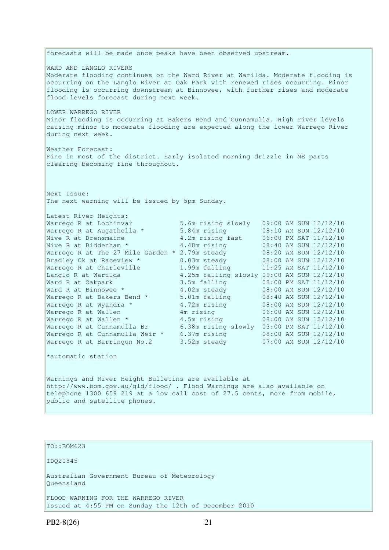forecasts will be made once peaks have been observed upstream. WARD AND LANGLO RIVERS Moderate flooding continues on the Ward River at Warilda. Moderate flooding is occurring on the Langlo River at Oak Park with renewed rises occurring. Minor flooding is occurring downstream at Binnowee, with further rises and moderate flood levels forecast during next week. LOWER WARREGO RIVER Minor flooding is occurring at Bakers Bend and Cunnamulla. High river levels causing minor to moderate flooding are expected along the lower Warrego River during next week. Weather Forecast: Fine in most of the district. Early isolated morning drizzle in NE parts clearing becoming fine throughout. Next Issue: The next warning will be issued by 5pm Sunday. Latest River Heights: Warrego R at Lochinvar 5.6m rising slowly 09:00 AM SUN 12/12/10 Warrego R at Augathella \* 5.84m rising 08:10 AM SUN 12/12/10 Nive R at Drensmaine 4.2m rising fast 06:00 PM SAT 11/12/10 Nive R at Biddenham \* 4.48m rising 08:40 AM SUN 12/12/10 Warrego R at The 27 Mile Garden  $*$  2.79m steady  $8:20$  AM SUN  $12/12/10$ Bradley Ck at Raceview \* 0.03m steady 08:00 AM SUN 12/12/10 Warrego R at Charleville 1.99m falling 11:25 AM SAT 11/12/10 Langlo R at Warilda 4.25m falling slowly 09:00 AM SUN 12/12/10 Ward R at Oakpark 3.5m falling 08:00 PM SAT 11/12/10 Ward R at Binnowee \* 4.02m steady 08:00 AM SUN 12/12/10 Warrego R at Bakers Bend \* 5.01m falling 08:40 AM SUN 12/12/10 Warrego R at Wyandra \* 4.72m rising 08:00 AM SUN 12/12/10 Warrego R at Wallen 4m rising 06:00 AM SUN 12/12/10 Warrego R at Wallen \* 4.5m rising 08:00 AM SUN 12/12/10 Warrego R at Cunnamulla Br 6.38m rising slowly 03:00 PM SAT 11/12/10 Warrego R at Cunnamulla Weir \* 6.37m rising 08:00 AM SUN 12/12/10 Warrego R at Barringun No.2 3.52m steady 07:00 AM SUN 12/12/10 \*automatic station Warnings and River Height Bulletins are available at http://www.bom.gov.au/qld/flood/ . Flood Warnings are also available on telephone 1300 659 219 at a low call cost of 27.5 cents, more from mobile, public and satellite phones.

#### TO::BOM623

IDQ20845

Australian Government Bureau of Meteorology Queensland

FLOOD WARNING FOR THE WARREGO RIVER Issued at 4:55 PM on Sunday the 12th of December 2010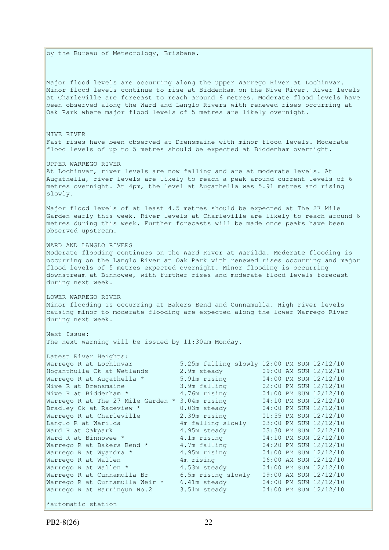by the Bureau of Meteorology, Brisbane.

Major flood levels are occurring along the upper Warrego River at Lochinvar. Minor flood levels continue to rise at Biddenham on the Nive River. River levels at Charleville are forecast to reach around 6 metres. Moderate flood levels have been observed along the Ward and Langlo Rivers with renewed rises occurring at Oak Park where major flood levels of 5 metres are likely overnight.

#### NIVE RIVER Fast rises have been observed at Drensmaine with minor flood levels. Moderate flood levels of up to 5 metres should be expected at Biddenham overnight.

UPPER WARREGO RIVER

At Lochinvar, river levels are now falling and are at moderate levels. At Augathella, river levels are likely to reach a peak around current levels of 6 metres overnight. At 4pm, the level at Augathella was 5.91 metres and rising slowly.

Major flood levels of at least 4.5 metres should be expected at The 27 Mile Garden early this week. River levels at Charleville are likely to reach around 6 metres during this week. Further forecasts will be made once peaks have been observed upstream.

WARD AND LANGLO RIVERS

Moderate flooding continues on the Ward River at Warilda. Moderate flooding is occurring on the Langlo River at Oak Park with renewed rises occurring and major flood levels of 5 metres expected overnight. Minor flooding is occurring downstream at Binnowee, with further rises and moderate flood levels forecast during next week.

LOWER WARREGO RIVER

Minor flooding is occurring at Bakers Bend and Cunnamulla. High river levels causing minor to moderate flooding are expected along the lower Warrego River during next week.

Next Issue: The next warning will be issued by 11:30am Monday.

| Latest River Heights:                                                  |                                                                                                                |  |                       |
|------------------------------------------------------------------------|----------------------------------------------------------------------------------------------------------------|--|-----------------------|
| Warrego R at Lochinvar                                                 | 5.25m falling slowly 12:00 PM SUN 12/12/10                                                                     |  |                       |
| Hoganthulla Ck at Wetlands                                             | 2.9m steady                                                                                                    |  | 09:00 AM SUN 12/12/10 |
| Warrego R at Augathella *                                              | 5.91m rising                                                                                                   |  | 04:00 PM SUN 12/12/10 |
| Nive R at Drensmaine                                                   | 3.9m falling                                                                                                   |  | 02:00 PM SUN 12/12/10 |
| Nive R at Biddenham *                                                  | 4.76m rising                                                                                                   |  | 04:00 PM SUN 12/12/10 |
| Warrego R at The 27 Mile Garden $*$ 3.04m rising 04:10 PM SUN 12/12/10 |                                                                                                                |  |                       |
| Bradley Ck at Raceview *                                               | 0.03m steady 04:00 PM SUN 12/12/10                                                                             |  |                       |
| Warrego R at Charleville                                               | 2.39m rising                                                                                                   |  | 01:55 PM SUN 12/12/10 |
| Langlo R at Warilda                                                    | 4m falling slowly                                                                                              |  | 03:00 PM SUN 12/12/10 |
| Ward R at Oakpark                                                      | 4.95m steady                                                                                                   |  | 03:30 PM SUN 12/12/10 |
| Ward R at Binnowee *                                                   | 4.1m rising                                                                                                    |  | 04:10 PM SUN 12/12/10 |
| Warrego R at Bakers Bend *                                             | 4.7m falling                                                                                                   |  | 04:20 PM SUN 12/12/10 |
| Warrego R at Wyandra *                                                 | 4.95m rising                                                                                                   |  | 04:00 PM SUN 12/12/10 |
| Warrego R at Wallen                                                    | 4m rising the state of the state of the state of the state of the state of the state of the state of the state |  | 06:00 AM SUN 12/12/10 |
| Warrego R at Wallen *                                                  | 4.53m steady                                                                                                   |  | 04:00 PM SUN 12/12/10 |
| Warrego R at Cunnamulla Br                                             | 6.5m rising slowly                                                                                             |  | 09:00 AM SUN 12/12/10 |
| Warrego R at Cunnamulla Weir *                                         | 6.41m steady                                                                                                   |  | 04:00 PM SUN 12/12/10 |
| Warrego R at Barringun No.2                                            | 3.51m steady                                                                                                   |  | 04:00 PM SUN 12/12/10 |
|                                                                        |                                                                                                                |  |                       |
| *automatic station                                                     |                                                                                                                |  |                       |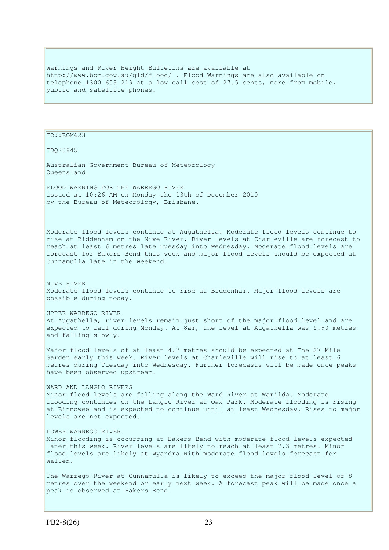Warnings and River Height Bulletins are available at http://www.bom.gov.au/qld/flood/ . Flood Warnings are also available on telephone 1300 659 219 at a low call cost of 27.5 cents, more from mobile, public and satellite phones.

TO::BOM623

IDQ20845

Australian Government Bureau of Meteorology Queensland

FLOOD WARNING FOR THE WARREGO RIVER Issued at 10:26 AM on Monday the 13th of December 2010 by the Bureau of Meteorology, Brisbane.

Moderate flood levels continue at Augathella. Moderate flood levels continue to rise at Biddenham on the Nive River. River levels at Charleville are forecast to reach at least 6 metres late Tuesday into Wednesday. Moderate flood levels are forecast for Bakers Bend this week and major flood levels should be expected at Cunnamulla late in the weekend.

NIVE RIVER Moderate flood levels continue to rise at Biddenham. Major flood levels are possible during today.

UPPER WARREGO RIVER At Augathella, river levels remain just short of the major flood level and are expected to fall during Monday. At 8am, the level at Augathella was 5.90 metres and falling slowly.

Major flood levels of at least 4.7 metres should be expected at The 27 Mile Garden early this week. River levels at Charleville will rise to at least 6 metres during Tuesday into Wednesday. Further forecasts will be made once peaks have been observed upstream.

#### WARD AND LANGLO RIVERS

Minor flood levels are falling along the Ward River at Warilda. Moderate flooding continues on the Langlo River at Oak Park. Moderate flooding is rising at Binnowee and is expected to continue until at least Wednesday. Rises to major levels are not expected.

#### LOWER WARREGO RIVER

Minor flooding is occurring at Bakers Bend with moderate flood levels expected later this week. River levels are likely to reach at least 7.3 metres. Minor flood levels are likely at Wyandra with moderate flood levels forecast for Wallen.

The Warrego River at Cunnamulla is likely to exceed the major flood level of 8 metres over the weekend or early next week. A forecast peak will be made once a peak is observed at Bakers Bend.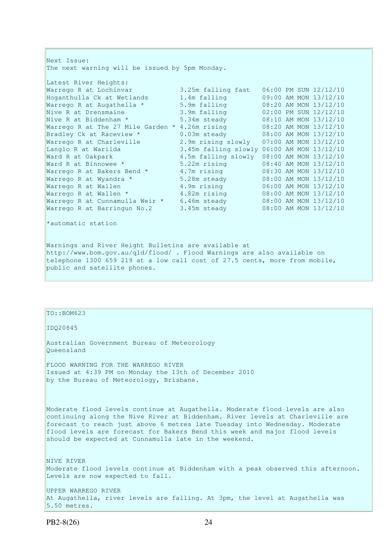Next Issue: The next warning will be issued by 5pm Monday. Latest River Heights: Warrego R at Lochinvar 3.25m falling fast 06:00 PM SUN 12/12/10 Hoganthulla Ck at Wetlands 1.4m falling 09:00 AM MON 13/12/10 Warrego R at Augathella \* 5.9m falling 08:20 AM MON 13/12/10 Nive R at Drensmaine 3.9m falling 02:00 PM SUN 12/12/10 Nive R at Biddenham \* 5.34m steady 08:10 AM MON 13/12/10 Warrego R at The 27 Mile Garden \* 4.26m rising 08:20 AM MON 13/12/10 Bradley Ck at Raceview \* 0.03m steady 08:00 AM MON 13/12/10 Warrego R at Charleville 2.9m rising slowly 07:00 AM MON 13/12/10 Langlo R at Warilda 3.45m falling slowly 06:00 AM MON 13/12/10 Ward R at Oakpark 4.5m falling slowly 08:00 AM MON 13/12/10 Ward R at Binnowee \* 5.22m rising 08:40 AM MON 13/12/10 Warrego R at Bakers Bend \* 4.7m rising 08:30 AM MON 13/12/10 Warrego R at Wyandra \* 5.28m steady 08:00 AM MON 13/12/10 Warrego R at Wallen 4.9m rising 06:00 AM MON 13/12/10 Warrego R at Wallen \* 4.82m rising 08:00 AM MON 13/12/10 Warrego R at Cunnamulla Weir \* 6.46m steady 08:00 AM MON 13/12/10 Warrego R at Barringun No.2 3.45m steady 08:00 AM MON 13/12/10

\*automatic station

Warnings and River Height Bulletins are available at http://www.bom.gov.au/qld/flood/ . Flood Warnings are also available on telephone 1300 659 219 at a low call cost of 27.5 cents, more from mobile, public and satellite phones.

#### $TO::BOM623$

IDQ20845

Australian Government Bureau of Meteorology Queensland

FLOOD WARNING FOR THE WARREGO RIVER Issued at 4:39 PM on Monday the 13th of December 2010 by the Bureau of Meteorology, Brisbane.

Moderate flood levels continue at Augathella. Moderate flood levels are also continuing along the Nive River at Biddenham. River levels at Charleville are forecast to reach just above 6 metres late Tuesday into Wednesday. Moderate flood levels are forecast for Bakers Bend this week and major flood levels should be expected at Cunnamulla late in the weekend.

NIVE RIVER Moderate flood levels continue at Biddenham with a peak observed this afternoon. Levels are now expected to fall.

UPPER WARREGO RIVER At Augathella, river levels are falling. At 3pm, the level at Augathella was 5.50 metres.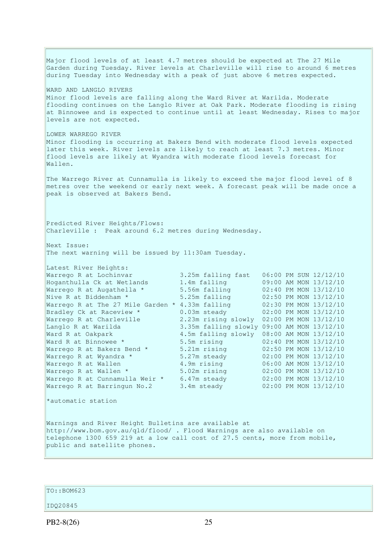Major flood levels of at least 4.7 metres should be expected at The 27 Mile Garden during Tuesday. River levels at Charleville will rise to around 6 metres during Tuesday into Wednesday with a peak of just above 6 metres expected. WARD AND LANGLO RIVERS Minor flood levels are falling along the Ward River at Warilda. Moderate flooding continues on the Langlo River at Oak Park. Moderate flooding is rising at Binnowee and is expected to continue until at least Wednesday. Rises to major levels are not expected. LOWER WARREGO RIVER Minor flooding is occurring at Bakers Bend with moderate flood levels expected later this week. River levels are likely to reach at least 7.3 metres. Minor flood levels are likely at Wyandra with moderate flood levels forecast for Wallen. The Warrego River at Cunnamulla is likely to exceed the major flood level of 8 metres over the weekend or early next week. A forecast peak will be made once a peak is observed at Bakers Bend. Predicted River Heights/Flows: Charleville : Peak around 6.2 metres during Wednesday. Next Issue: The next warning will be issued by 11:30am Tuesday. Latest River Heights: Warrego R at Lochinvar 3.25m falling fast 06:00 PM SUN 12/12/10 Hoganthulla Ck at Wetlands 1.4m falling 09:00 AM MON 13/12/10 Warrego R at Augathella \* 5.56m falling 02:40 PM MON 13/12/10<br>Nive R at Biddenham \* 5.25m falling 02:50 PM MON 13/12/10 Nive R at Biddenham \* 5.25m falling 02:50 PM MON 13/12/10 Warrego R at The 27 Mile Garden \* 4.33m falling 02:30 PM MON 13/12/10 Bradley Ck at Raceview \* 0.03m steady 02:00 PM MON 13/12/10 Warrego R at Charleville 2.23m rising slowly 02:00 PM MON 13/12/10 Langlo R at Warilda 3.35m falling slowly 09:00 AM MON 13/12/10 Ward R at Oakpark 4.5m falling slowly 08:00 AM MON 13/12/10 Ward R at Binnowee \* 5.5m rising 02:40 PM MON 13/12/10 Warrego R at Bakers Bend  $*$  5.21m rising  $02:50$  PM MON  $13/12/10$ Warrego R at Wyandra \* 5.27m steady 02:00 PM MON 13/12/10 Warrego R at Wallen 4.9m rising 06:00 AM MON 13/12/10 Warrego R at Wallen \* 5.02m rising 02:00 PM MON 13/12/10 Warrego R at Cunnamulla Weir \* 6.47m steady 02:00 PM MON 13/12/10 Warrego R at Barringun No.2 3.4m steady 02:00 PM MON 13/12/10 \*automatic station Warnings and River Height Bulletins are available at http://www.bom.gov.au/qld/flood/ . Flood Warnings are also available on telephone 1300 659 219 at a low call cost of 27.5 cents, more from mobile, public and satellite phones.

TO::BOM623

IDQ20845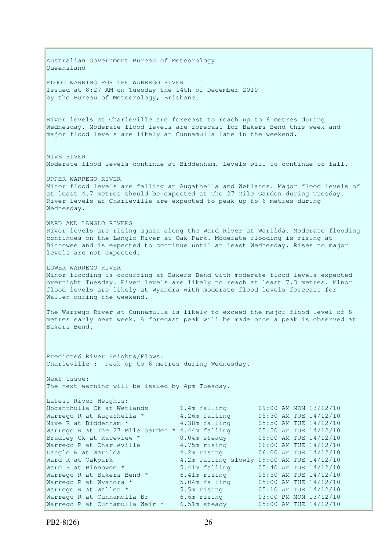Australian Government Bureau of Meteorology Queensland FLOOD WARNING FOR THE WARREGO RIVER Issued at 8:27 AM on Tuesday the 14th of December 2010 by the Bureau of Meteorology, Brisbane. River levels at Charleville are forecast to reach up to 6 metres during Wednesday. Moderate flood levels are forecast for Bakers Bend this week and major flood levels are likely at Cunnamulla late in the weekend. NIVE RIVER Moderate flood levels continue at Biddenham. Levels will to continue to fall. UPPER WARREGO RIVER Minor flood levels are falling at Augathella and Wetlands. Major flood levels of at least 4.7 metres should be expected at The 27 Mile Garden during Tuesday. River levels at Charleville are expected to peak up to 6 metres during Wednesday. WARD AND LANGLO RIVERS River levels are rising again along the Ward River at Warilda. Moderate flooding continues on the Langlo River at Oak Park. Moderate flooding is rising at Binnowee and is expected to continue until at least Wednesday. Rises to major levels are not expected. LOWER WARREGO RIVER Minor flooding is occurring at Bakers Bend with moderate flood levels expected overnight Tuesday. River levels are likely to reach at least 7.3 metres. Minor flood levels are likely at Wyandra with moderate flood levels forecast for Wallen during the weekend. The Warrego River at Cunnamulla is likely to exceed the major flood level of 8 metres early next week. A forecast peak will be made once a peak is observed at Bakers Bend. Predicted River Heights/Flows: Charleville : Peak up to 6 metres during Wednesday. Next Issue: The next warning will be issued by 4pm Tuesday. Latest River Heights: Hoganthulla Ck at Wetlands 1.4m falling 09:00 AM MON 13/12/10 Warrego R at Augathella \* 4.26m falling 05:30 AM TUE 14/12/10 Nive R at Biddenham  $*$  4.38m falling 05:50 AM TUE 14/12/10 Warrego R at The 27 Mile Garden \* 4.44m falling 05:50 AM TUE 14/12/10 Bradley Ck at Raceview \* 0.04m steady 05:00 AM TUE 14/12/10 Warrego R at Charleville 4.75m rising 06:00 AM TUE 14/12/10 Bradley Ck at Raceview \* 0.04m steady 05:00 AM TUE 14/12/10<br>
Warrego R at Charleville 4.75m rising 06:00 AM TUE 14/12/10<br>
Langlo R at Warilda 4.2m rising 06:00 AM TUE 14/12/10 Ward R at Oakpark 4.2m falling slowly 09:00 AM TUE 14/12/10<br>Ward R at Binnowee \* 5.41m falling 05:40 AM TUE 14/12/10 Ward R at Binnowee \* 5.41m falling 05:40 AM TUE 14/12/10 Warrego R at Bakers Bend \* 6.41m rising 6.50 AM TUE 14/12/10 Warrego R at Wyandra \* 5.04m falling 05:00 AM TUE 14/12/10 Warrego R at Wallen  $*$  5.5m rising 05:10 AM TUE 14/12/10 Warrego R at Cunnamulla Br 6.6m rising 03:00 PM MON 13/12/10 Warrego R at Cunnamulla Weir \* 6.51m steady 05:00 AM TUE 14/12/10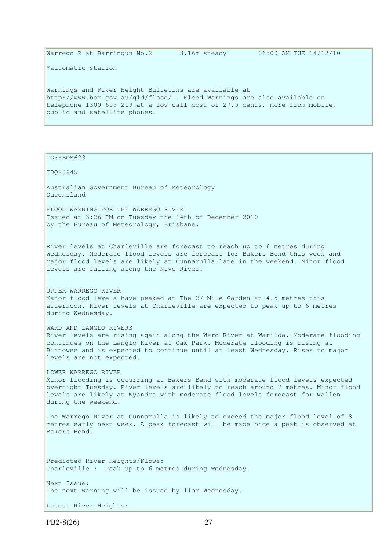Warrego R at Barringun No.2 3.16m steady 06:00 AM TUE  $14/12/10$ 

\*automatic station

Warnings and River Height Bulletins are available at http://www.bom.gov.au/qld/flood/ . Flood Warnings are also available on telephone 1300 659 219 at a low call cost of 27.5 cents, more from mobile, public and satellite phones.

TO::BOM623

IDQ20845

Australian Government Bureau of Meteorology Queensland

FLOOD WARNING FOR THE WARREGO RIVER Issued at 3:26 PM on Tuesday the 14th of December 2010 by the Bureau of Meteorology, Brisbane.

River levels at Charleville are forecast to reach up to 6 metres during Wednesday. Moderate flood levels are forecast for Bakers Bend this week and major flood levels are likely at Cunnamulla late in the weekend. Minor flood levels are falling along the Nive River.

UPPER WARREGO RIVER Major flood levels have peaked at The 27 Mile Garden at 4.5 metres this afternoon. River levels at Charleville are expected to peak up to 6 metres during Wednesday.

WARD AND LANGLO RIVERS

River levels are rising again along the Ward River at Warilda. Moderate flooding continues on the Langlo River at Oak Park. Moderate flooding is rising at Binnowee and is expected to continue until at least Wednesday. Rises to major levels are not expected.

LOWER WARREGO RIVER

Minor flooding is occurring at Bakers Bend with moderate flood levels expected overnight Tuesday. River levels are likely to reach around 7 metres. Minor flood levels are likely at Wyandra with moderate flood levels forecast for Wallen during the weekend.

The Warrego River at Cunnamulla is likely to exceed the major flood level of 8 metres early next week. A peak forecast will be made once a peak is observed at Bakers Bend.

Predicted River Heights/Flows: Charleville : Peak up to 6 metres during Wednesday.

Next Issue: The next warning will be issued by 11am Wednesday.

Latest River Heights: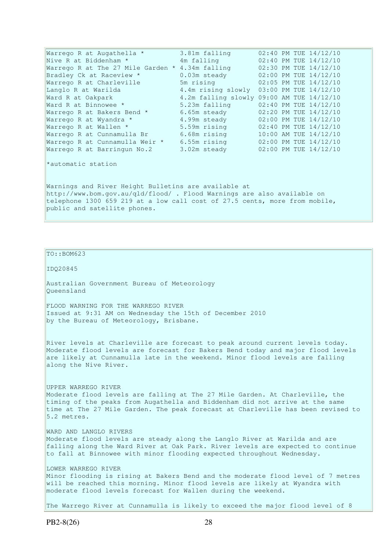Warrego R at Augathella \* 3.81m falling 02:40 PM TUE 14/12/10 Nive R at Biddenham \* 4m falling 02:40 PM TUE 14/12/10 Warrego R at The 27 Mile Garden \* 4.34m falling 02:30 PM TUE 14/12/10 Bradley Ck at Raceview \* 0.03m steady 02:00 PM TUE 14/12/10 Warrego R at Charleville 5m rising 02:05 PM TUE 14/12/10 Langlo R at Warilda 4.4m rising slowly 03:00 PM TUE 14/12/10 Ward R at Oakpark 4.2m falling slowly 09:00 AM TUE 14/12/10 Ward R at Binnowee \* 5.23m falling 02:40 PM TUE 14/12/10 Warrego R at Bakers Bend \* 6.65m steady 02:20 PM TUE 14/12/10 Warrego R at Wyandra \* 4.99m steady 02:00 PM TUE 14/12/10 Warrego R at Wallen \* 5.59m rising 02:40 PM TUE 14/12/10 Warrego R at Cunnamulla Br 6.68m rising 10:00 AM TUE 14/12/10 Warrego R at Cunnamulla Weir \* 6.55m rising 02:00 PM TUE 14/12/10 Warrego R at Barringun No.2 3.02m steady 02:00 PM TUE 14/12/10 \*automatic station Warnings and River Height Bulletins are available at http://www.bom.gov.au/qld/flood/ . Flood Warnings are also available on telephone 1300 659 219 at a low call cost of 27.5 cents, more from mobile, public and satellite phones.

#### TO::BOM623

IDQ20845

Australian Government Bureau of Meteorology Queensland

FLOOD WARNING FOR THE WARREGO RIVER Issued at 9:31 AM on Wednesday the 15th of December 2010 by the Bureau of Meteorology, Brisbane.

River levels at Charleville are forecast to peak around current levels today. Moderate flood levels are forecast for Bakers Bend today and major flood levels are likely at Cunnamulla late in the weekend. Minor flood levels are falling along the Nive River.

UPPER WARREGO RIVER Moderate flood levels are falling at The 27 Mile Garden. At Charleville, the timing of the peaks from Augathella and Biddenham did not arrive at the same time at The 27 Mile Garden. The peak forecast at Charleville has been revised to 5.2 metres.

WARD AND LANGLO RIVERS Moderate flood levels are steady along the Langlo River at Warilda and are falling along the Ward River at Oak Park. River levels are expected to continue to fall at Binnowee with minor flooding expected throughout Wednesday.

LOWER WARREGO RIVER Minor flooding is rising at Bakers Bend and the moderate flood level of 7 metres will be reached this morning. Minor flood levels are likely at Wyandra with moderate flood levels forecast for Wallen during the weekend.

The Warrego River at Cunnamulla is likely to exceed the major flood level of 8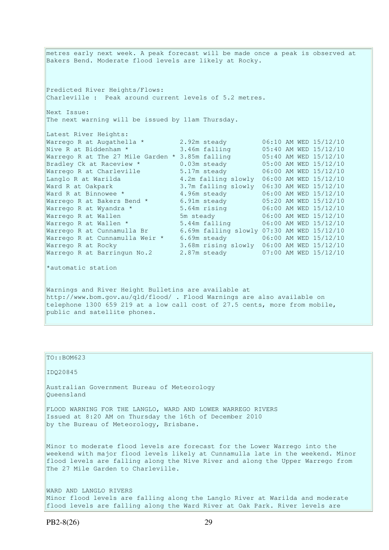metres early next week. A peak forecast will be made once a peak is observed at Bakers Bend. Moderate flood levels are likely at Rocky. Predicted River Heights/Flows: Charleville : Peak around current levels of 5.2 metres. Next Issue: The next warning will be issued by 11am Thursday. Latest River Heights: Warrego R at Augathella  $\star$  2.92m steady  $06:10$  AM WED  $15/12/10$ Nive R at Biddenham \* 3.46m falling 05:40 AM WED 15/12/10 Warrego R at The 27 Mile Garden \* 3.85m falling 05:40 AM WED 15/12/10 Bradley Ck at Raceview \* 0.03m steady 05:00 AM WED 15/12/10 Warrego R at Charleville 5.17m steady 06:00 AM WED 15/12/10 Langlo R at Warilda 4.2m falling slowly 06:00 AM WED 15/12/10 Ward R at Oakpark 3.7m falling slowly 06:30 AM WED 15/12/10 Ward R at Binnowee \* 4.96m steady 06:00 AM WED 15/12/10 Warrego R at Bakers Bend \* 6.91m steady 05:20 AM WED 15/12/10 Warrego R at Wyandra \* 5.64m rising 06:00 AM WED 15/12/10 Warrego R at Wallen 5m steady 06:00 AM WED 15/12/10 Warrego R at Wallen \* 5.44m falling 06:00 AM WED 15/12/10 Warrego R at Cunnamulla Br 6.69m falling slowly 07:30 AM WED 15/12/10 Warrego R at Cunnamulla Weir \* 6.69m steady 06:00 AM WED 15/12/10 Warrego R at Rocky 3.68m rising slowly 06:00 AM WED 15/12/10 Warrego R at Barringun No.2 2.87m steady 07:00 AM WED 15/12/10 \*automatic station Warnings and River Height Bulletins are available at http://www.bom.gov.au/qld/flood/ . Flood Warnings are also available on telephone 1300 659 219 at a low call cost of 27.5 cents, more from mobile, public and satellite phones.

# PB2-8(26) 29 TO::BOM623 IDQ20845 Australian Government Bureau of Meteorology Queensland FLOOD WARNING FOR THE LANGLO, WARD AND LOWER WARREGO RIVERS Issued at 8:20 AM on Thursday the 16th of December 2010 by the Bureau of Meteorology, Brisbane. Minor to moderate flood levels are forecast for the Lower Warrego into the weekend with major flood levels likely at Cunnamulla late in the weekend. Minor flood levels are falling along the Nive River and along the Upper Warrego from The 27 Mile Garden to Charleville. WARD AND LANGLO RIVERS Minor flood levels are falling along the Langlo River at Warilda and moderate flood levels are falling along the Ward River at Oak Park. River levels are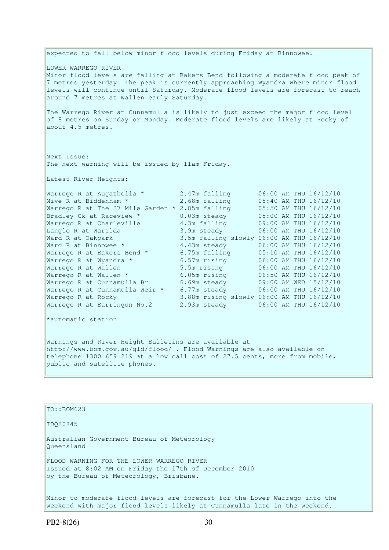expected to fall below minor flood levels during Friday at Binnowee. LOWER WARREGO RIVER Minor flood levels are falling at Bakers Bend following a moderate flood peak of 7 metres yesterday. The peak is currently approaching Wyandra where minor flood levels will continue until Saturday. Moderate flood levels are forecast to reach around 7 metres at Wallen early Saturday. The Warrego River at Cunnamulla is likely to just exceed the major flood level of 8 metres on Sunday or Monday. Moderate flood levels are likely at Rocky of about 4.5 metres. Next Issue: The next warning will be issued by 11am Friday. Latest River Heights: Warrego R at Augathella \* 2.47m falling 06:00 AM THU 16/12/10 Nive R at Biddenham \* 2.68m falling 05:40 AM THU 16/12/10 Warrego R at The 27 Mile Garden \* 2.85m falling 05:50 AM THU 16/12/10 Bradley Ck at Raceview \* 0.03m steady 05:00 AM THU 16/12/10 Warrego R at Charleville 4.3m falling 09:00 AM THU 16/12/10 Langlo R at Warilda 3.9m steady 06:00 AM THU 16/12/10 Ward R at Oakpark 3.5m falling slowly 06:00 AM THU 16/12/10 Ward R at Binnowee \* 4.43m steady 06:00 AM THU 16/12/10 Warrego R at Bakers Bend \* 6.75m falling 05:10 AM THU 16/12/10 Warrego R at Wyandra \*  $6.57$ m rising  $06:00$  AM THU  $16/12/10$ Warrego R at Wallen 5.5m rising 06:00 AM THU 16/12/10 Warrego R at Wallen \* 6.05m rising 06:50 AM THU 16/12/10 Warrego R at Cunnamulla Br 6.69m steady 09:00 AM WED 15/12/10 Warrego R at Cunnamulla Weir \* 6.77m steady 06:00 AM THU 16/12/10 Warrego R at Rocky 3.88m rising slowly 06:00 AM THU 16/12/10 Warrego R at Barringun No.2 2.93m steady 06:00 AM THU 16/12/10 \*automatic station Warnings and River Height Bulletins are available at

http://www.bom.gov.au/qld/flood/ . Flood Warnings are also available on telephone 1300 659 219 at a low call cost of 27.5 cents, more from mobile, public and satellite phones.

# IDQ20845 Australian Government Bureau of Meteorology Queensland

TO::BOM623

FLOOD WARNING FOR THE LOWER WARREGO RIVER Issued at 8:02 AM on Friday the 17th of December 2010 by the Bureau of Meteorology, Brisbane.

Minor to moderate flood levels are forecast for the Lower Warrego into the weekend with major flood levels likely at Cunnamulla late in the weekend.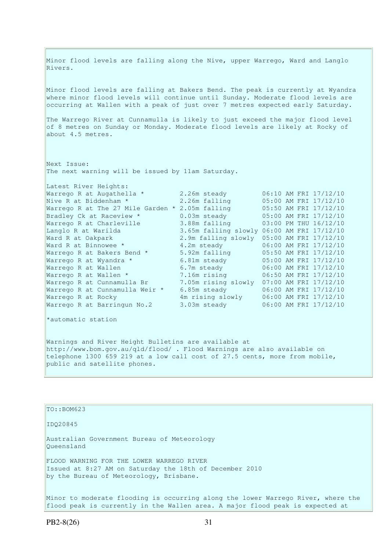Minor flood levels are falling along the Nive, upper Warrego, Ward and Langlo Rivers. Minor flood levels are falling at Bakers Bend. The peak is currently at Wyandra where minor flood levels will continue until Sunday. Moderate flood levels are occurring at Wallen with a peak of just over 7 metres expected early Saturday. The Warrego River at Cunnamulla is likely to just exceed the major flood level of 8 metres on Sunday or Monday. Moderate flood levels are likely at Rocky of about 4.5 metres. Next Issue: The next warning will be issued by 11am Saturday. Latest River Heights: Warrego R at Augathella \* 2.26m steady 06:10 AM FRI 17/12/10<br>Nive R at Biddenham \* 2.26m falling 05:00 AM FRI 17/12/10<br>Warrego R at The 27 Mile Garden \* 2.05m falling 05:50 AM FRI 17/12/10 Nive R at Biddenham \* 2.26m falling 05:00 AM FRI 17/12/10 Warrego R at The 27 Mile Garden \* 2.05m falling 05:50 AM FRI 17/12/10 Bradley Ck at Raceview \* 0.03m steady 05:00 AM FRI 17/12/10 Warrego R at Charleville 3.88m falling 03:00 PM THU 16/12/10 Langlo R at Warilda 3.65m falling slowly 06:00 AM FRI 17/12/10 Ward R at Oakpark 2.9m falling slowly 05:00 AM FRI 17/12/10 Ward R at Binnowee \* 4.2m steady 06:00 AM FRI 17/12/10 Warrego R at Bakers Bend \* 5.92m falling 5.50 AM FRI 17/12/10 Warrego R at Wyandra \* 6.81m steady 05:00 AM FRI 17/12/10

Warrego R at Barringun No.2 3.03m steady 06:00 AM FRI 17/12/10 \*automatic station Warnings and River Height Bulletins are available at http://www.bom.gov.au/qld/flood/ . Flood Warnings are also available on telephone 1300 659 219 at a low call cost of 27.5 cents, more from mobile,

Warrego R at Wallen 6.7m steady 06:00 AM FRI 17/12/10 Warrego R at Wallen \* 7.16m rising 06:50 AM FRI 17/12/10 Warrego R at Cunnamulla Br 7.05m rising slowly 07:00 AM FRI 17/12/10 Warrego R at Cunnamulla Weir \* 6.85m steady 06:00 AM FRI 17/12/10 Warrego R at Rocky 4m rising slowly 06:00 AM FRI 17/12/10

public and satellite phones.

# TO::BOM623 IDQ20845 Australian Government Bureau of Meteorology Queensland FLOOD WARNING FOR THE LOWER WARREGO RIVER Issued at 8:27 AM on Saturday the 18th of December 2010 by the Bureau of Meteorology, Brisbane.

Minor to moderate flooding is occurring along the lower Warrego River, where the flood peak is currently in the Wallen area. A major flood peak is expected at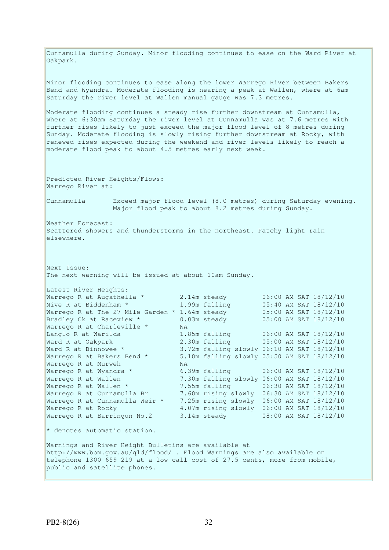Cunnamulla during Sunday. Minor flooding continues to ease on the Ward River at Oakpark. Minor flooding continues to ease along the lower Warrego River between Bakers Bend and Wyandra. Moderate flooding is nearing a peak at Wallen, where at 6am Saturday the river level at Wallen manual gauge was 7.3 metres. Moderate flooding continues a steady rise further downstream at Cunnamulla, where at 6:30am Saturday the river level at Cunnamulla was at 7.6 metres with further rises likely to just exceed the major flood level of 8 metres during Sunday. Moderate flooding is slowly rising further downstream at Rocky, with renewed rises expected during the weekend and river levels likely to reach a moderate flood peak to about 4.5 metres early next week. Predicted River Heights/Flows: Warrego River at: Cunnamulla Exceed major flood level (8.0 metres) during Saturday evening. Major flood peak to about 8.2 metres during Sunday. Weather Forecast: Scattered showers and thunderstorms in the northeast. Patchy light rain elsewhere. Next Issue: The next warning will be issued at about 10am Sunday. Latest River Heights: Warrego R at Augathella  $*$  2.14m steady  $06:00$  AM SAT 18/12/10 Nive R at Biddenham \* 1.99m falling 05:40 AM SAT 18/12/10 Warrego R at The 27 Mile Garden  $*$  1.64m steady  $05:00$  AM SAT  $18/12/10$ Bradley Ck at Raceview \* 0.03m steady 05:00 AM SAT 18/12/10 Warrego R at Charleville \* WA Langlo R at Warilda 1.85m falling 06:00 AM SAT 18/12/10 Ward R at Oakpark 2.30m falling 05:00 AM SAT 18/12/10 Ward R at Binnowee \* 3.72m falling slowly 06:10 AM SAT 18/12/10 Warrego R at Bakers Bend \* 5.10m falling slowly 05:50 AM SAT 18/12/10 Warrego R at Bakers Bend \* 5.1<br>Warrego R at Murweh NA<br>Warrego R at Wyandra \* 6.3 6.39m falling 06:00 AM SAT 18/12/10 Warrego R at Wallen 7.30m falling slowly 06:00 AM SAT 18/12/10<br>Warrego R at Wallen \* 7.55m falling 06:30 AM SAT 18/12/10 Warrego R at Wallen \* 7.55m falling 06:30 AM SAT 18/12/10 Warrego R at Cunnamulla Br 7.60m rising slowly 06:30 AM SAT 18/12/10 Warrego R at Cunnamulla Weir \* 7.25m rising slowly 06:00 AM SAT 18/12/10 Warrego R at Rocky 4.07m rising slowly 06:00 AM SAT 18/12/10 Warrego R at Barringun No.2 3.14m steady 08:00 AM SAT 18/12/10 \* denotes automatic station. Warnings and River Height Bulletins are available at http://www.bom.gov.au/qld/flood/ . Flood Warnings are also available on telephone 1300 659 219 at a low call cost of 27.5 cents, more from mobile, public and satellite phones.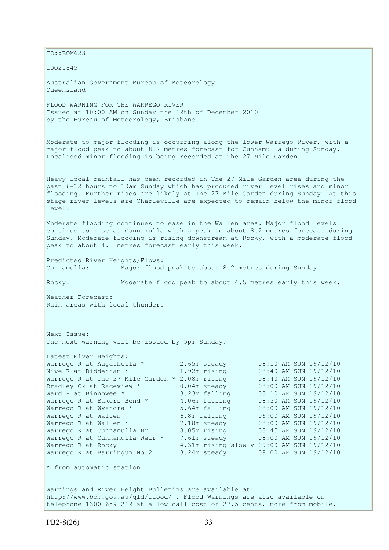TO::BOM623 IDQ20845 Australian Government Bureau of Meteorology Queensland FLOOD WARNING FOR THE WARREGO RIVER Issued at 10:00 AM on Sunday the 19th of December 2010 by the Bureau of Meteorology, Brisbane. Moderate to major flooding is occurring along the lower Warrego River, with a major flood peak to about 8.2 metres forecast for Cunnamulla during Sunday. Localised minor flooding is being recorded at The 27 Mile Garden. Heavy local rainfall has been recorded in The 27 Mile Garden area during the past 6-12 hours to 10am Sunday which has produced river level rises and minor flooding. Further rises are likely at The 27 Mile Garden during Sunday. At this stage river levels are Charleville are expected to remain below the minor flood level. Moderate flooding continues to ease in the Wallen area. Major flood levels continue to rise at Cunnamulla with a peak to about 8.2 metres forecast during Sunday. Moderate flooding is rising downstream at Rocky, with a moderate flood peak to about 4.5 metres forecast early this week. Predicted River Heights/Flows: Cunnamulla: Major flood peak to about 8.2 metres during Sunday. Rocky: Moderate flood peak to about 4.5 metres early this week. Weather Forecast: Rain areas with local thunder. Next Issue: The next warning will be issued by 5pm Sunday. Latest River Heights: Warrego R at Augathella \* 2.65m steady 08:10 AM SUN 19/12/10 Nive R at Biddenham \* 1.92m rising 08:40 AM SUN 19/12/10 Warrego R at The 27 Mile Garden \* 2.08m rising 08:40 AM SUN 19/12/10 Bradley Ck at Raceview \* 0.04m steady 08:00 AM SUN 19/12/10 Ward R at Binnowee \* 3.23m falling 08:10 AM SUN 19/12/10 Warrego R at Bakers Bend \* 4.06m falling 08:30 AM SUN 19/12/10 Warrego R at Wyandra \* 5.64m falling 08:00 AM SUN 19/12/10 Warrego R at Bakers Bend \* 3.00m Lailing 19:00 AM SUN 19/12/10<br>
Warrego R at Wyandra \* 5.64m falling 19:00 AM SUN 19/12/10<br>
Warrego R at Wallen 19:00 AM SUN 19:00 AM SUN 19:00 Warrego R at Wallen \* 7.18m steady 08:00 AM SUN 19/12/10 Warrego R at Cunnamulla Br 8.05m rising 08:45 AM SUN 19/12/10 Warrego R at Cunnamulla Weir \* 7.61m steady 08:00 AM SUN 19/12/10 Warrego R at Rocky 4.31m rising slowly 09:00 AM SUN 19/12/10 Warrego R at Barringun No.2 3.24m steady 09:00 AM SUN 19/12/10 \* from automatic station Warnings and River Height Bulletins are available at http://www.bom.gov.au/qld/flood/ . Flood Warnings are also available on telephone 1300 659 219 at a low call cost of 27.5 cents, more from mobile,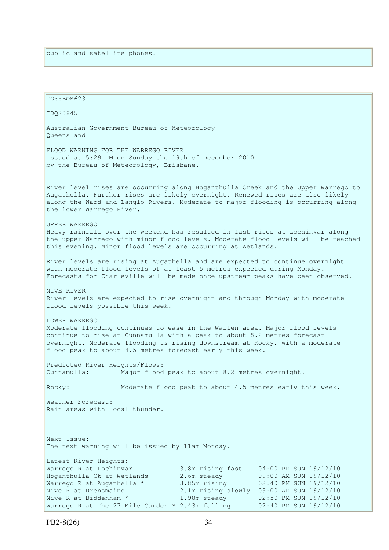```
TO: <math>ROM623</math>IDQ20845 
Australian Government Bureau of Meteorology 
Queensland 
FLOOD WARNING FOR THE WARREGO RIVER 
Issued at 5:29 PM on Sunday the 19th of December 2010 
by the Bureau of Meteorology, Brisbane.
River level rises are occurring along Hoganthulla Creek and the Upper Warrego to 
Augathella. Further rises are likely overnight. Renewed rises are also likely 
along the Ward and Langlo Rivers. Moderate to major flooding is occurring along 
the lower Warrego River. 
UPPER WARREGO 
Heavy rainfall over the weekend has resulted in fast rises at Lochinvar along 
the upper Warrego with minor flood levels. Moderate flood levels will be reached 
this evening. Minor flood levels are occurring at Wetlands. 
River levels are rising at Augathella and are expected to continue overnight 
with moderate flood levels of at least 5 metres expected during Monday.
Forecasts for Charleville will be made once upstream peaks have been observed. 
NIVE RIVER 
River levels are expected to rise overnight and through Monday with moderate 
flood levels possible this week. 
LOWER WARREGO
Moderate flooding continues to ease in the Wallen area. Major flood levels 
continue to rise at Cunnamulla with a peak to about 8.2 metres forecast 
overnight. Moderate flooding is rising downstream at Rocky, with a moderate
flood peak to about 4.5 metres forecast early this week. 
Predicted River Heights/Flows: 
Cunnamulla: Major flood peak to about 8.2 metres overnight. 
Rocky: Moderate flood peak to about 4.5 metres early this week. 
Weather Forecast: 
Rain areas with local thunder. 
Next Issue: 
The next warning will be issued by 11am Monday. 
Latest River Heights: 
Warrego R at Lochinvar 3.8m rising fast 04:00 PM SUN 19/12/10 
Hoganthulla Ck at Wetlands 2.6m steady 09:00 AM SUN 19/12/10 
Warrego R at Augathella * 3.85m rising 02:40 PM SUN 19/12/10 
Nive R at Drensmaine 2.1m rising slowly 09:00 AM SUN 19/12/10
Nive R at Drensmaine<br>Nive R at Biddenham * 1.98m steady 02:50 PM SUN 19/12/10
Warrego R at The 27 Mile Garden * 2.43m falling 02:40 PM SUN 19/12/10
```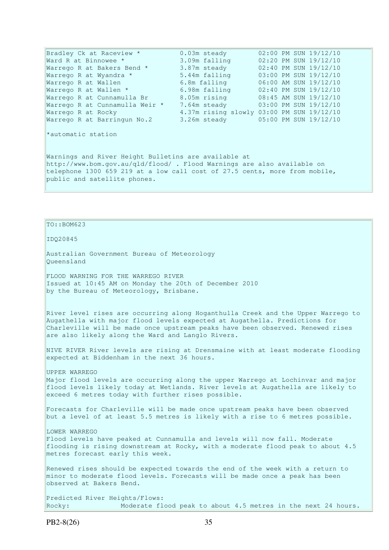Bradley Ck at Raceview \* 0.03m steady 02:00 PM SUN 19/12/10 Ward R at Binnowee \* 3.09m falling 02:20 PM SUN 19/12/10 Warrego R at Bakers Bend \* 3.87m steady 02:40 PM SUN 19/12/10 Warrego R at Wyandra \* 5.44m falling 03:00 PM SUN 19/12/10 Warrego R at Bakers Bend \* 3.87m steady  $02:40$  PM SUN 19/12/10<br>
Warrego R at Wyandra \* 5.44m falling 03:00 PM SUN 19/12/10<br>
Warrego R at Wallen 6.8m falling 06:00 AM SUN 19/12/10 Warrego R at Wallen \* 6.98m falling 02:40 PM SUN 19/12/10 Warrego R at Cunnamulla Br 8.05m rising 08:45 AM SUN 19/12/10 Warrego R at Cunnamulla Weir \* 7.64m steady 03:00 PM SUN 19/12/10 Warrego R at Rocky 4.37m rising slowly 03:00 PM SUN 19/12/10 Warrego R at Barringun No.2 3.26m steady 05:00 PM SUN 19/12/10 \*automatic station Warnings and River Height Bulletins are available at http://www.bom.gov.au/qld/flood/ . Flood Warnings are also available on telephone 1300 659 219 at a low call cost of 27.5 cents, more from mobile,

```
public and satellite phones.
```
#### $To::BOM623$

#### IDQ20845

Australian Government Bureau of Meteorology Queensland

FLOOD WARNING FOR THE WARREGO RIVER Issued at 10:45 AM on Monday the 20th of December 2010 by the Bureau of Meteorology, Brisbane.

River level rises are occurring along Hoganthulla Creek and the Upper Warrego to Augathella with major flood levels expected at Augathella. Predictions for Charleville will be made once upstream peaks have been observed. Renewed rises are also likely along the Ward and Langlo Rivers.

NIVE RIVER River levels are rising at Drensmaine with at least moderate flooding expected at Biddenham in the next 36 hours.

UPPER WARREGO Major flood levels are occurring along the upper Warrego at Lochinvar and major flood levels likely today at Wetlands. River levels at Augathella are likely to exceed 6 metres today with further rises possible.

Forecasts for Charleville will be made once upstream peaks have been observed but a level of at least 5.5 metres is likely with a rise to 6 metres possible.

LOWER WARREGO Flood levels have peaked at Cunnamulla and levels will now fall. Moderate flooding is rising downstream at Rocky, with a moderate flood peak to about 4.5 metres forecast early this week.

Renewed rises should be expected towards the end of the week with a return to minor to moderate flood levels. Forecasts will be made once a peak has been observed at Bakers Bend.

Predicted River Heights/Flows: Rocky: Moderate flood peak to about 4.5 metres in the next 24 hours.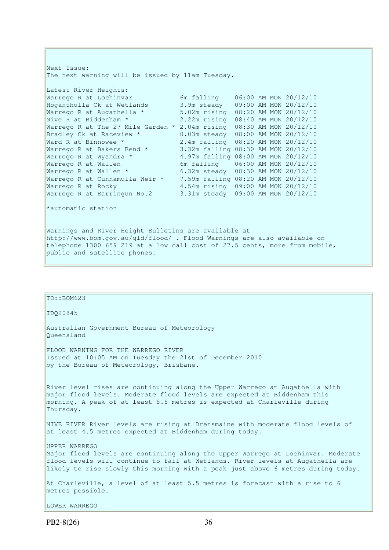Next Issue: The next warning will be issued by 11am Tuesday. Latest River Heights: Warrego R at Lochinvar 6m falling  $06:00$  AM MON  $20/12/10$ Hoganthulla Ck at Wetlands  $\begin{array}{lll} 3.9 \text{m} \text{ steady} & 09:00 \text{ AM MON } 20/12/10 \\ \text{Warrego R at Augusthella} & 5.02 \text{m} \text{ rising} & 08:20 \text{ AM MON } 20/12/10 \\ \text{Mive R at Ridanham} & 2.22 \text{m} \text{ rising} & 08:40 \text{ AM MON } 20/12/10 \end{array}$ Warrego R at Augathella \*  $5.02m$  rising  $08:20$  AM MON  $20/12/10$ <br>Nive R at Biddenham \*  $2.22m$  rising  $08:40$  AM MON  $20/12/10$ 2.22m rising 08:40 AM MON 20/12/10 Warrego R at The 27 Mile Garden  $*$  2.04m rising 08:30 AM MON 20/12/10 Bradley Ck at Raceview \* 0.03m steady 08:00 AM MON 20/12/10 Ward R at Binnowee \* 2.4m falling 08:20 AM MON 20/12/10 Warrego R at Bakers Bend \* 3.32m falling 08:30 AM MON 20/12/10 Warrego R at Wyandra \* 4.97m falling 08:00 AM MON 20/12/10 Warrego R at Wallen 6m falling 06:00 AM MON 20/12/10<br>Warrego R at Wallen \* 6.32m steady 08:30 AM MON 20/12/10 Warrego R at Wallen \* 6.32m steady 08:30 AM MON 20/12/10 Warrego R at Cunnamulla Weir \* 7.59m falling 08:20 AM MON 20/12/10 Warrego R at Rocky 4.54m rising 09:00 AM MON 20/12/10 Warrego R at Barringun No.2 3.31m steady 09:00 AM MON 20/12/10 \*automatic station Warnings and River Height Bulletins are available at

http://www.bom.gov.au/qld/flood/ . Flood Warnings are also available on telephone 1300 659 219 at a low call cost of 27.5 cents, more from mobile, public and satellite phones.

| $TO: BOM623$                                                                                                                                                                                                                                                            |
|-------------------------------------------------------------------------------------------------------------------------------------------------------------------------------------------------------------------------------------------------------------------------|
| ID020845                                                                                                                                                                                                                                                                |
| Australian Government Bureau of Meteorology<br>Oueensland                                                                                                                                                                                                               |
| FLOOD WARNING FOR THE WARREGO RIVER<br>Issued at 10:05 AM on Tuesday the 21st of December 2010<br>by the Bureau of Meteorology, Brisbane.                                                                                                                               |
| River level rises are continuing along the Upper Warrego at Augathella with<br>major flood levels. Moderate flood levels are expected at Biddenham this<br>morning. A peak of at least 5.5 metres is expected at Charleville during<br>Thursday.                        |
| NIVE RIVER River levels are rising at Drensmaine with moderate flood levels of<br>at least 4.5 metres expected at Biddenham during today.                                                                                                                               |
| UPPER WARREGO<br>Major flood levels are continuing along the upper Warrego at Lochinvar. Moderate<br>flood levels will continue to fall at Wetlands. River levels at Augathella are<br>likely to rise slowly this morning with a peak just above 6 metres during today. |
| At Charleville, a level of at least 5.5 metres is forecast with a rise to 6<br>metres possible.                                                                                                                                                                         |
| LOWER WARREGO                                                                                                                                                                                                                                                           |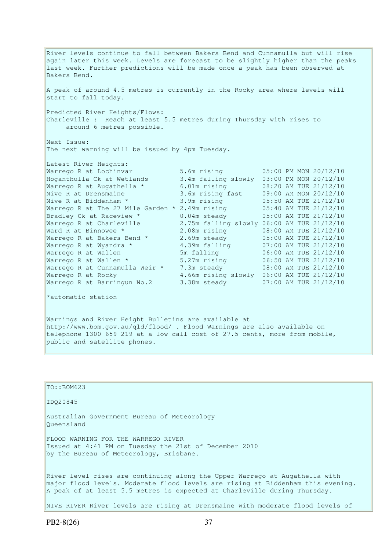River levels continue to fall between Bakers Bend and Cunnamulla but will rise again later this week. Levels are forecast to be slightly higher than the peaks last week. Further predictions will be made once a peak has been observed at Bakers Bend. A peak of around 4.5 metres is currently in the Rocky area where levels will start to fall today. Predicted River Heights/Flows: Charleville : Reach at least 5.5 metres during Thursday with rises to around 6 metres possible. Next Issue: The next warning will be issued by 4pm Tuesday. Latest River Heights: Warrego R at Lochinvar 5.6m rising 05:00 PM MON 20/12/10<br>
Hoganthulla Ck at Wetlands 3.4m falling slowly 03:00 PM MON 20/12/10<br>
Warrego R at Augathella \* 6.01m rising 08:20 AM TUE 21/12/10 Hoganthulla Ck at Wetlands 3.4m falling slowly 03:00 PM MON 20/12/10 Warrego R at Augathella \* 6.01m rising 08:20 AM TUE 21/12/10 Nive R at Drensmaine 3.6m rising fast 09:00 AM MON 20/12/10 Nive R at Biddenham \* 3.9m rising 05:50 AM TUE 21/12/10 Warrego R at The 27 Mile Garden \* 2.49m rising 05:40 AM TUE 21/12/10 Bradley Ck at Raceview \* 0.04m steady 05:00 AM TUE 21/12/10 Warrego R at Charleville 2.75m falling slowly 06:00 AM TUE 21/12/10 Ward R at Binnowee \* 2.08m rising 08:00 AM TUE 21/12/10 Warrego R at Bakers Bend  $*$  2.69m steady  $05:00$  AM TUE 21/12/10 Warrego R at Wyandra \* 4.39m falling 07:00 AM TUE 21/12/10 Warrego R at Wallen 5m falling 06:00 AM TUE 21/12/10 Warrego R at Wallen \* 5.27m rising 06:50 AM TUE 21/12/10 Warrego R at Cunnamulla Weir \* 7.3m steady 08:00 AM TUE 21/12/10 Warrego R at Rocky 4.66m rising slowly 06:00 AM TUE 21/12/10 Warrego R at Barringun No.2 3.38m steady 07:00 AM TUE 21/12/10

\*automatic station

Warnings and River Height Bulletins are available at http://www.bom.gov.au/qld/flood/ . Flood Warnings are also available on telephone 1300 659 219 at a low call cost of 27.5 cents, more from mobile, public and satellite phones.

TO::BOM623 IDQ20845 Australian Government Bureau of Meteorology Queensland FLOOD WARNING FOR THE WARREGO RIVER Issued at 4:41 PM on Tuesday the 21st of December 2010 by the Bureau of Meteorology, Brisbane. River level rises are continuing along the Upper Warrego at Augathella with major flood levels. Moderate flood levels are rising at Biddenham this evening. A peak of at least 5.5 metres is expected at Charleville during Thursday. NIVE RIVER River levels are rising at Drensmaine with moderate flood levels of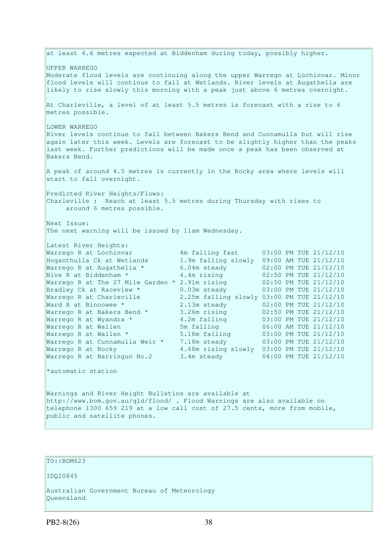at least 4.6 metres expected at Biddenham during today, possibly higher. UPPER WARREGO Moderate flood levels are continuing along the upper Warrego at Lochinvar. Minor flood levels will continue to fall at Wetlands. River levels at Augathella are likely to rise slowly this morning with a peak just above 6 metres overnight. At Charleville, a level of at least 5.5 metres is forecast with a rise to 6 metres possible. LOWER WARREGO River levels continue to fall between Bakers Bend and Cunnamulla but will rise again later this week. Levels are forecast to be slightly higher than the peaks last week. Further predictions will be made once a peak has been observed at Bakers Bend. A peak of around 4.5 metres is currently in the Rocky area where levels will start to fall overnight. Predicted River Heights/Flows: Charleville : Reach at least 5.5 metres during Thursday with rises to around 6 metres possible. Next Issue: The next warning will be issued by 11am Wednesday. Latest River Heights: Warrego R at Lochinvar 4m falling fast 03:00 PM TUE 21/12/10 Hoganthulla Ck at Wetlands 1.9m falling slowly 09:00 AM TUE 21/12/10 Warrego R at Augathella \* 6.04m steady 02:00 PM TUE 21/12/10 Nive R at Biddenham \* 4.4m rising 02:50 PM TUE 21/12/10 Warrego R at The 27 Mile Garden \* 2.91m rising 02:50 PM TUE 21/12/10 Bradley Ck at Raceview \* 0.03m steady 03:00 PM TUE 21/12/10 Warrego R at Charleville 2.25m falling slowly 03:00 PM TUE 21/12/10 Ward R at Binnowee \* 2.13m steady 02:00 PM TUE 21/12/10 Warrego R at Bakers Bend  $*$  3.26m rising  $02:50$  PM TUE 21/12/10 Warrego R at Wyandra \* 4.2m falling 03:00 PM TUE 21/12/10 Warrego R at Wallen 5m falling 06:00 AM TUE 21/12/10 Warrego R at Wallen \* 5.18m falling 03:00 PM TUE 21/12/10 Warrego R at Cunnamulla Weir \* 7.18m steady 03:00 PM TUE 21/12/10 Warrego R at Rocky 4.68m rising slowly 03:00 PM TUE 21/12/10 Warrego R at Rocky 1.68m rising slowly 03:00 PM TUE 21/12/10<br>Warrego R at Barringun No.2 3.4m steady 04:00 PM TUE 21/12/10 \*automatic station Warnings and River Height Bulletins are available at http://www.bom.gov.au/qld/flood/ . Flood Warnings are also available on telephone 1300 659 219 at a low call cost of 27.5 cents, more from mobile, public and satellite phones.

#### TO::BOM623

IDQ20845

Australian Government Bureau of Meteorology Queensland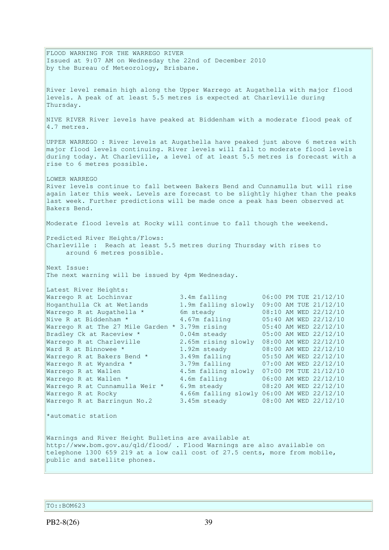FLOOD WARNING FOR THE WARREGO RIVER Issued at 9:07 AM on Wednesday the 22nd of December 2010 by the Bureau of Meteorology, Brisbane. River level remain high along the Upper Warrego at Augathella with major flood levels. A peak of at least 5.5 metres is expected at Charleville during Thursday. NIVE RIVER River levels have peaked at Biddenham with a moderate flood peak of 4.7 metres. UPPER WARREGO : River levels at Augathella have peaked just above 6 metres with major flood levels continuing. River levels will fall to moderate flood levels during today. At Charleville, a level of at least 5.5 metres is forecast with a rise to 6 metres possible. LOWER WARREGO River levels continue to fall between Bakers Bend and Cunnamulla but will rise again later this week. Levels are forecast to be slightly higher than the peaks last week. Further predictions will be made once a peak has been observed at Bakers Bend. Moderate flood levels at Rocky will continue to fall though the weekend. Predicted River Heights/Flows: Charleville : Reach at least 5.5 metres during Thursday with rises to around 6 metres possible. Next Issue: The next warning will be issued by 4pm Wednesday. Latest River Heights:<br>Warrego R at Lochinvar Warrego R at Lochinvar 3.4m falling 06:00 PM TUE 21/12/10 Hoganthulla Ck at Wetlands 1.9m falling slowly 09:00 AM TUE 21/12/10 Warrego R at Augathella \* 6m steady 08:10 AM WED 22/12/10 Nive R at Biddenham \* 4.67m falling 05:40 AM WED 22/12/10 Warrego R at The 27 Mile Garden \* 3.79m rising 05:40 AM WED 22/12/10 Bradley Ck at Raceview \* 0.04m steady 05:00 AM WED 22/12/10 Warrego R at Charleville 2.65m rising slowly 08:00 AM WED 22/12/10 Ward R at Binnowee \* 1.92m steady 08:00 AM WED 22/12/10 Warrego R at Bakers Bend \* 3.49m falling 05:50 AM WED 22/12/10 Warrego R at Wyandra \* 3.79m falling 07:00 AM WED 22/12/10 Warrego R at Wallen 4.5m falling slowly 07:00 PM TUE 21/12/10 Warrego R at Wallen \* 4.6m falling 06:00 AM WED 22/12/10 Warrego R at Cunnamulla Weir \* 6.9m steady 08:20 AM WED 22/12/10 Warrego R at Rocky 4.66m falling slowly 06:00 AM WED 22/12/10 Warrego R at Barringun No.2 3.45m steady 08:00 AM WED 22/12/10 \*automatic station Warnings and River Height Bulletins are available at http://www.bom.gov.au/qld/flood/ . Flood Warnings are also available on telephone 1300 659 219 at a low call cost of 27.5 cents, more from mobile, public and satellite phones.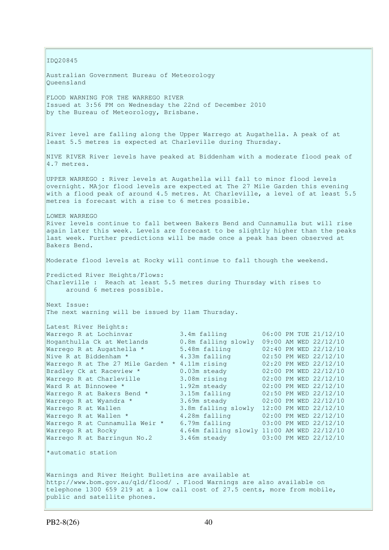IDQ20845 Australian Government Bureau of Meteorology Queensland FLOOD WARNING FOR THE WARREGO RIVER Issued at 3:56 PM on Wednesday the 22nd of December 2010 by the Bureau of Meteorology, Brisbane. River level are falling along the Upper Warrego at Augathella. A peak of at least 5.5 metres is expected at Charleville during Thursday. NIVE RIVER River levels have peaked at Biddenham with a moderate flood peak of 4.7 metres. UPPER WARREGO : River levels at Augathella will fall to minor flood levels overnight. MAjor flood levels are expected at The 27 Mile Garden this evening with a flood peak of around 4.5 metres. At Charleville, a level of at least 5.5 metres is forecast with a rise to 6 metres possible. LOWER WARREGO River levels continue to fall between Bakers Bend and Cunnamulla but will rise again later this week. Levels are forecast to be slightly higher than the peaks last week. Further predictions will be made once a peak has been observed at Bakers Bend. Moderate flood levels at Rocky will continue to fall though the weekend. Predicted River Heights/Flows: Charleville : Reach at least 5.5 metres during Thursday with rises to around 6 metres possible. Next Issue: The next warning will be issued by 11am Thursday. Latest River Heights: Warrego R at Lochinvar 3.4m falling 06:00 PM TUE 21/12/10<br>Hoganthulla Ck at Wetlands 0.8m falling slowly 09:00 AM WED 22/12/10 Hoganthulla Ck at Wetlands 0.8m falling slowly 09:00 AM WED 22/12/10 Warrego R at Augathella \* 5.48m falling 02:40 PM WED 22/12/10 Nive R at Biddenham \* 4.33m falling 02:50 PM WED 22/12/10 Warrego R at The 27 Mile Garden \* 4.11m rising 02:20 PM WED 22/12/10 Bradley Ck at Raceview \* 0.03m steady 02:00 PM WED 22/12/10 Warrego R at Charleville 3.08m rising 02:00 PM WED 22/12/10 Ward R at Binnowee \* 1.92m steady 02:00 PM WED 22/12/10 Warrego R at Bakers Bend \* 3.15m falling 02:50 PM WED 22/12/10 Warrego R at Wyandra \* 3.69m steady 02:00 PM WED 22/12/10 Warrego R at Wallen 3.8m falling slowly 12:00 PM WED 22/12/10 Warrego R at Wallen \* 4.28m falling 02:00 PM WED 22/12/10 Warrego R at Cunnamulla Weir \* 6.79m falling 03:00 PM WED 22/12/10 Warrego R at Rocky 4.64m falling slowly 11:00 AM WED 22/12/10 Warrego R at Barringun No.2 3.46m steady 03:00 PM WED 22/12/10 \*automatic station Warnings and River Height Bulletins are available at http://www.bom.gov.au/qld/flood/ . Flood Warnings are also available on telephone 1300 659 219 at a low call cost of 27.5 cents, more from mobile, public and satellite phones.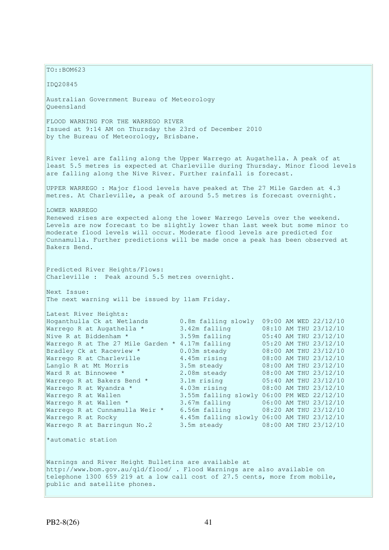$TO: **ROM623**$ IDQ20845 Australian Government Bureau of Meteorology Queensland FLOOD WARNING FOR THE WARREGO RIVER Issued at 9:14 AM on Thursday the 23rd of December 2010 by the Bureau of Meteorology, Brisbane. River level are falling along the Upper Warrego at Augathella. A peak of at least 5.5 metres is expected at Charleville during Thursday. Minor flood levels are falling along the Nive River. Further rainfall is forecast. UPPER WARREGO : Major flood levels have peaked at The 27 Mile Garden at 4.3 metres. At Charleville, a peak of around 5.5 metres is forecast overnight. LOWER WARREGO Renewed rises are expected along the lower Warrego Levels over the weekend. Levels are now forecast to be slightly lower than last week but some minor to moderate flood levels will occur. Moderate flood levels are predicted for Cunnamulla. Further predictions will be made once a peak has been observed at Bakers Bend. Predicted River Heights/Flows: Charleville : Peak around 5.5 metres overnight. Next Issue: The next warning will be issued by 11am Friday. Latest River Heights: Hoganthulla Ck at Wetlands 0.8m falling slowly 09:00 AM WED 22/12/10 Warrego R at Augathella \* 3.42m falling 08:10 AM THU 23/12/10 Nive R at Biddenham \* 3.59m falling 05:40 AM THU 23/12/10 Warrego R at The 27 Mile Garden  $*$  4.17m falling  $05:20$  AM THU 23/12/10 Bradley Ck at Raceview \* 0.03m steady 08:00 AM THU 23/12/10 Warrego R at Charleville 4.45m rising 08:00 AM THU 23/12/10 Langlo R at Mt Morris 3.5m steady 08:00 AM THU 23/12/10 Ward R at Binnowee \* 2.08m steady 08:00 AM THU 23/12/10 Warrego R at Bakers Bend \* 3.1m rising 05:40 AM THU 23/12/10 Warrego R at Wyandra \* 4.03m rising 08:00 AM THU 23/12/10 Warrego R at Wallen 3.55m falling slowly 06:00 PM WED 22/12/10 Warrego R at Wallen \* 3.67m falling 06:00 AM THU 23/12/10 Warrego R at Cunnamulla Weir \* 6.56m falling 08:20 AM THU 23/12/10 Warrego R at Rocky 4.45m falling slowly 06:00 AM THU 23/12/10 Warrego R at Barringun No.2 3.5m steady 08:00 AM THU 23/12/10 \*automatic station Warnings and River Height Bulletins are available at http://www.bom.gov.au/qld/flood/ . Flood Warnings are also available on telephone 1300 659 219 at a low call cost of 27.5 cents, more from mobile, public and satellite phones.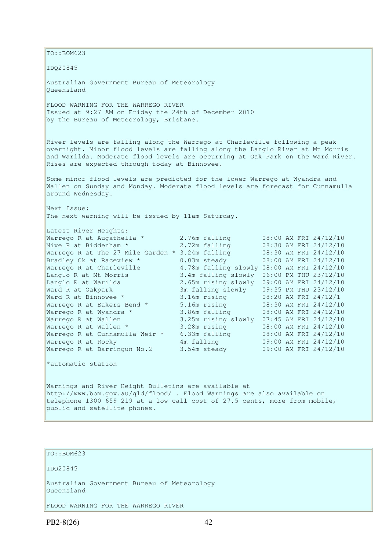TO::BOM623 IDQ20845 Australian Government Bureau of Meteorology Queensland FLOOD WARNING FOR THE WARREGO RIVER Issued at 9:27 AM on Friday the 24th of December 2010 by the Bureau of Meteorology, Brisbane. River levels are falling along the Warrego at Charleville following a peak overnight. Minor flood levels are falling along the Langlo River at Mt Morris and Warilda. Moderate flood levels are occurring at Oak Park on the Ward River. Rises are expected through today at Binnowee. Some minor flood levels are predicted for the lower Warrego at Wyandra and Wallen on Sunday and Monday. Moderate flood levels are forecast for Cunnamulla around Wednesday. Next Issue: The next warning will be issued by 11am Saturday. Latest River Heights: Warrego R at Augathella \* 2.76m falling 08:00 AM FRI 24/12/10 Nive R at Biddenham \* 2.72m falling 08:30 AM FRI 24/12/10 Warrego R at The 27 Mile Garden \* 3.24m falling 08:30 AM FRI 24/12/10 Bradley Ck at Raceview \* 0.03m steady 08:00 AM FRI 24/12/10 Warrego R at Charleville 4.78m falling slowly 08:00 AM FRI 24/12/10 Langlo R at Mt Morris 3.4m falling slowly 06:00 PM THU 23/12/10 Langlo R at Warilda 2.65m rising slowly 09:00 AM FRI 24/12/10 Ward R at Oakpark 3m falling slowly 09:35 PM THU 23/12/10 Ward R at Binnowee \* 3.16m rising 08:20 AM FRI 24/12/1 Warrego R at Bakers Bend \* 5.16m rising 08:30 AM FRI 24/12/10 Warrego R at Wyandra \* 3.86m falling 08:00 AM FRI 24/12/10 Warrego R at Wallen 3.25m rising slowly 07:45 AM FRI 24/12/10 Warrego R at Wallen \* 3.28m rising 08:00 AM FRI 24/12/10 Warrego R at Cunnamulla Weir \* 6.33m falling 08:00 AM FRI 24/12/10 Warrego R at Rocky 4m falling 09:00 AM FRI 24/12/10 Warrego R at Rocky **12.12 Am falling** 199:00 AM FRI 24/12/10<br>
Warrego R at Barringun No.2 3.54m steady 09:00 AM FRI 24/12/10 \*automatic station Warnings and River Height Bulletins are available at http://www.bom.gov.au/qld/flood/ . Flood Warnings are also available on telephone 1300 659 219 at a low call cost of 27.5 cents, more from mobile, public and satellite phones.

```
TO::BOM623
```
IDQ20845

Australian Government Bureau of Meteorology Queensland

FLOOD WARNING FOR THE WARREGO RIVER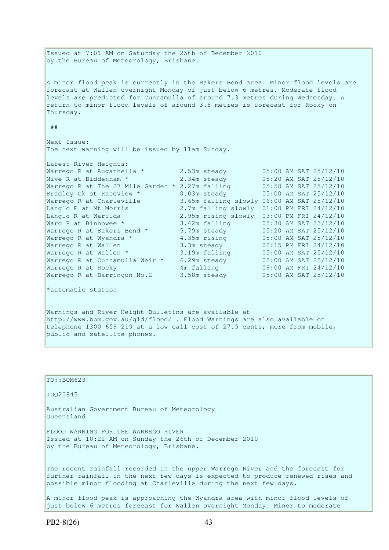Issued at 7:01 AM on Saturday the 25th of December 2010 by the Bureau of Meteorology, Brisbane. A minor flood peak is currently in the Bakers Bend area. Minor flood levels are forecast at Wallen overnight Monday of just below 6 metres. Moderate flood levels are predicted for Cunnamulla of around 7.3 metres during Wednesday. A return to minor flood levels of around 3.8 metres is forecast for Rocky on Thursday. ## Next Issue: The next warning will be issued by 11am Sunday. Latest River Heights: Warrego R at Augathella \* 2.53m steady 05:00 AM SAT 25/12/10<br>Nive R at Biddenham \* 2.34m steady 05:20 AM SAT 25/12/10 Nive R at Biddenham \* 2.34m steady 05:20 AM SAT 25/12/10 Warrego R at The 27 Mile Garden  $*$  2.27m falling  $05:50$  AM SAT 25/12/10 Bradley Ck at Raceview \* 0.03m steady 05:00 AM SAT 25/12/10 Warrego R at Charleville 3.65m falling slowly 06:00 AM SAT 25/12/10 Langlo R at Mt Morris 2.7m falling slowly 01:00 PM FRI 24/12/10 Langlo R at Warilda 2.95m rising slowly 03:00 PM FRI 24/12/10 Ward R at Binnowee \* 3.42m falling 05:30 AM SAT 25/12/10 Warrego R at Bakers Bend  $*$  5.79m steady  $05:20$  AM SAT 25/12/10 Warrego R at Wyandra \* 4.35m rising 05:00 AM SAT 25/12/10 Warrego R at Wallen 3.3m steady 02:15 PM FRI 24/12/10 Warrego R at Wallen \* 3.19m falling 05:00 AM SAT 25/12/10 Warrego R at Cunnamulla Weir \* 6.29m steady 05:00 AM SAT 25/12/10 Warrego R at Rocky 4m falling 09:00 AM FRI 24/12/10 Warrego R at Rocky **1 and 1** and 1 alling 1 and 19:00 AM FRI 24/12/10 **Marrego R at Barringun No.2** 3.58m steady 15:00 AM SAT 25/12/10 \*automatic station Warnings and River Height Bulletins are available at

http://www.bom.gov.au/qld/flood/ . Flood Warnings are also available on telephone 1300 659 219 at a low call cost of 27.5 cents, more from mobile, public and satellite phones.

TO::BOM623 IDQ20845 Australian Government Bureau of Meteorology Queensland FLOOD WARNING FOR THE WARREGO RIVER Issued at 10:22 AM on Sunday the 26th of December 2010 by the Bureau of Meteorology, Brisbane. The recent rainfall recorded in the upper Warrego River and the forecast for further rainfall in the next few days is expected to produce renewed rises and possible minor flooding at Charleville during the next few days.

A minor flood peak is approaching the Wyandra area with minor flood levels of just below 6 metres forecast for Wallen overnight Monday. Minor to moderate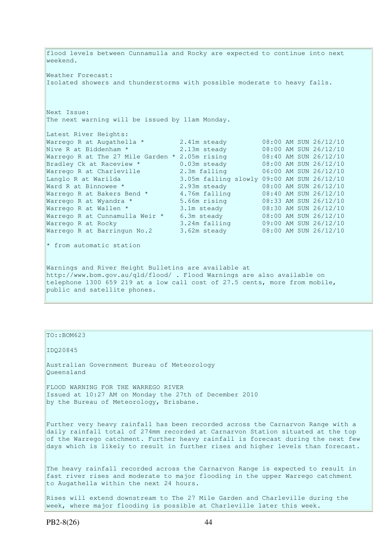flood levels between Cunnamulla and Rocky are expected to continue into next weekend. Weather Forecast: Isolated showers and thunderstorms with possible moderate to heavy falls. Next Issue: The next warning will be issued by 11am Monday. Latest River Heights: Warrego R at Augathella  $*$  2.41m steady  $08:00$  AM SUN 26/12/10 Nive R at Biddenham \* 2.13m steady 08:00 AM SUN 26/12/10 Warrego R at The 27 Mile Garden \* 2.05m rising 08:40 AM SUN 26/12/10 Bradley Ck at Raceview \* 0.03m steady 08:00 AM SUN 26/12/10 Warrego R at Charleville 2.3m falling 06:00 AM SUN 26/12/10 Langlo R at Warilda 3.05m falling slowly 09:00 AM SUN 26/12/10 Ward R at Binnowee \* 2.93m steady 08:00 AM SUN 26/12/10 Warrego R at Bakers Bend \* 4.76m falling 08:40 AM SUN 26/12/10 Warrego R at Wyandra \* 5.66m rising 08:33 AM SUN 26/12/10 Warrego R at Wallen \* 3.1m steady 08:30 AM SUN 26/12/10 Warrego R at Cunnamulla Weir \* 6.3m steady 08:00 AM SUN 26/12/10 Warrego R at Rocky 3.24m falling 09:00 AM SUN 26/12/10 Warrego R at Barringun No.2 3.62m steady 08:00 AM SUN 26/12/10 \* from automatic station Warnings and River Height Bulletins are available at http://www.bom.gov.au/qld/flood/ . Flood Warnings are also available on telephone 1300 659 219 at a low call cost of 27.5 cents, more from mobile,

public and satellite phones.

#### TO::BOM623

IDQ20845

Australian Government Bureau of Meteorology Queensland

FLOOD WARNING FOR THE WARREGO RIVER Issued at 10:27 AM on Monday the 27th of December 2010 by the Bureau of Meteorology, Brisbane.

Further very heavy rainfall has been recorded across the Carnarvon Range with a daily rainfall total of 274mm recorded at Carnarvon Station situated at the top of the Warrego catchment. Further heavy rainfall is forecast during the next few days which is likely to result in further rises and higher levels than forecast.

The heavy rainfall recorded across the Carnarvon Range is expected to result in fast river rises and moderate to major flooding in the upper Warrego catchment to Augathella within the next 24 hours.

Rises will extend downstream to The 27 Mile Garden and Charleville during the week, where major flooding is possible at Charleville later this week.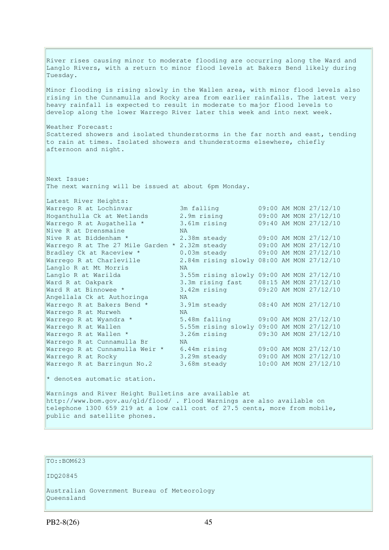River rises causing minor to moderate flooding are occurring along the Ward and Langlo Rivers, with a return to minor flood levels at Bakers Bend likely during Tuesday. Minor flooding is rising slowly in the Wallen area, with minor flood levels also rising in the Cunnamulla and Rocky area from earlier rainfalls. The latest very heavy rainfall is expected to result in moderate to major flood levels to develop along the lower Warrego River later this week and into next week. Weather Forecast: Scattered showers and isolated thunderstorms in the far north and east, tending to rain at times. Isolated showers and thunderstorms elsewhere, chiefly afternoon and night. Next Issue: The next warning will be issued at about 6pm Monday. Latest River Heights: Warrego R at Lochinvar 3m falling 09:00 AM MON 27/12/10 Hoganthulla Ck at Wetlands 2.9m rising 09:00 AM MON 27/12/10 Warrego R at Augathella \* 3.61m rising 09:40 AM MON 27/12/10 Narrego R at Augathella \* 3.6<br>Nive R at Drensmaine NA Nive R at Biddenham \* 2.38m steady 09:00 AM MON 27/12/10 Warrego R at The 27 Mile Garden \* 2.32m steady 09:00 AM MON 27/12/10 Bradley Ck at Raceview \* 0.03m steady 09:00 AM MON 27/12/10 Warrego R at Charleville 2.84m rising slowly 08:00 AM MON 27/12/10 Langlo R at Mt Morris NA Langlo R at Warilda 3.55m rising slowly 09:00 AM MON 27/12/10 Ward R at Oakpark 3.3m rising fast 08:15 AM MON 27/12/10 Ward R at Binnowee \* 3.42m rising 09:20 AM MON 27/12/10 Angellala Ck at Authoringa NA 3.91m steady 08:40 AM MON 27/12/10 Warrego R at Murweh NA<br>Warrego R at Wyandra \* 5.4 Warrego R at Wyandra \* 5.48m falling 09:00 AM MON 27/12/10 Warrego R at Wallen 5.55m rising slowly 09:00 AM MON 27/12/10 Warrego R at Wallen \* 3.26m rising 09:30 AM MON 27/12/10 Warrego R at Cunnamulla Br MA Warrego R at Cunnamulla Weir \* 6.44m rising 09:00 AM MON 27/12/10 Warrego R at Rocky 3.29m steady 09:00 AM MON 27/12/10 Warrego R at Barringun No.2 3.68m steady 10:00 AM MON 27/12/10  $*$  denotes automatic station.

Warnings and River Height Bulletins are available at http://www.bom.gov.au/qld/flood/ . Flood Warnings are also available on telephone 1300 659 219 at a low call cost of 27.5 cents, more from mobile, public and satellite phones.

TO::BOM623

IDQ20845

Australian Government Bureau of Meteorology Queensland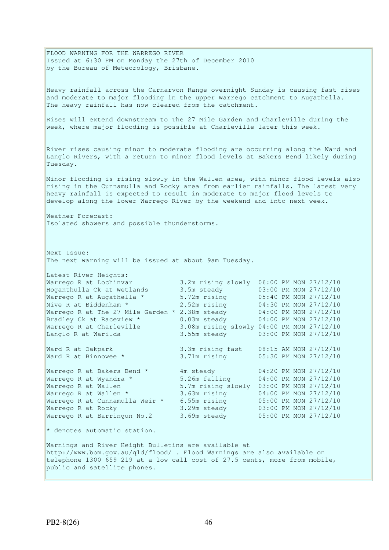FLOOD WARNING FOR THE WARREGO RIVER Issued at 6:30 PM on Monday the 27th of December 2010 by the Bureau of Meteorology, Brisbane. Heavy rainfall across the Carnarvon Range overnight Sunday is causing fast rises and moderate to major flooding in the upper Warrego catchment to Augathella. The heavy rainfall has now cleared from the catchment. Rises will extend downstream to The 27 Mile Garden and Charleville during the week, where major flooding is possible at Charleville later this week. River rises causing minor to moderate flooding are occurring along the Ward and Langlo Rivers, with a return to minor flood levels at Bakers Bend likely during Tuesday. Minor flooding is rising slowly in the Wallen area, with minor flood levels also rising in the Cunnamulla and Rocky area from earlier rainfalls. The latest very heavy rainfall is expected to result in moderate to major flood levels to develop along the lower Warrego River by the weekend and into next week. Weather Forecast: Isolated showers and possible thunderstorms. Next Issue: The next warning will be issued at about 9am Tuesday. Latest River Heights: Warrego R at Lochinvar 3.2m rising slowly 06:00 PM MON 27/12/10 Hoganthulla Ck at Wetlands 3.5m steady 03:00 PM MON 27/12/10 Warrego R at Augathella \* 5.72m rising 05:40 PM MON 27/12/10 Nive R at Biddenham \* 2.52m rising 04:30 PM MON 27/12/10 Warrego R at The 27 Mile Garden \* 2.38m steady 04:00 PM MON 27/12/10 Bradley Ck at Raceview \* 0.03m steady 04:00 PM MON 27/12/10 Warrego R at Charleville 3.08m rising slowly 04:00 PM MON 27/12/10 Langlo R at Warilda 3.55m steady 03:00 PM MON 27/12/10 Ward R at Oakpark<br>Ward R at Binnowee \* Ward R at Oakpark 3.3m rising fast 08:15 AM MON 27/12/10 Ward R at Binnowee \* 3.71m rising 05:30 PM MON 27/12/10 Warrego R at Bakers Bend \* 4m steady 04:20 PM MON 27/12/10 Warrego R at Wyandra \* 5.26m falling 04:00 PM MON 27/12/10 Warrego R at Wallen 5.7m rising slowly 03:00 PM MON 27/12/10 Warrego R at Wallen \* 3.63m rising 04:00 PM MON 27/12/10 Warrego R at Cunnamulla Weir \* 6.55m rising 05:00 PM MON 27/12/10 Warrego R at Rocky 3.29m steady 03:00 PM MON 27/12/10 Warrego R at Barringun No.2 3.69m steady 05:00 PM MON 27/12/10 \* denotes automatic station. Warnings and River Height Bulletins are available at http://www.bom.gov.au/qld/flood/ . Flood Warnings are also available on telephone 1300 659 219 at a low call cost of 27.5 cents, more from mobile, public and satellite phones.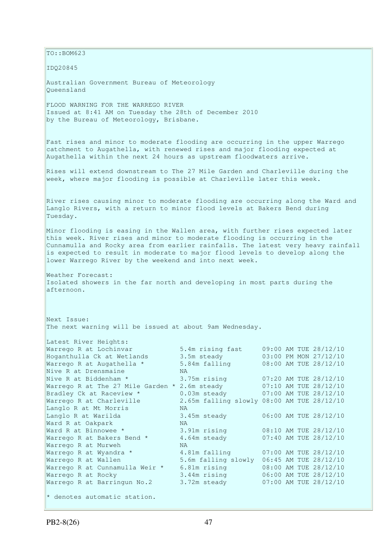TO::BOM623 IDQ20845 Australian Government Bureau of Meteorology Queensland FLOOD WARNING FOR THE WARREGO RIVER Issued at 8:41 AM on Tuesday the 28th of December 2010 by the Bureau of Meteorology, Brisbane. Fast rises and minor to moderate flooding are occurring in the upper Warrego catchment to Augathella, with renewed rises and major flooding expected at Augathella within the next 24 hours as upstream floodwaters arrive. Rises will extend downstream to The 27 Mile Garden and Charleville during the week, where major flooding is possible at Charleville later this week. River rises causing minor to moderate flooding are occurring along the Ward and Langlo Rivers, with a return to minor flood levels at Bakers Bend during Tuesday. Minor flooding is easing in the Wallen area, with further rises expected later this week. River rises and minor to moderate flooding is occurring in the Cunnamulla and Rocky area from earlier rainfalls. The latest very heavy rainfall is expected to result in moderate to major flood levels to develop along the lower Warrego River by the weekend and into next week. Weather Forecast: Isolated showers in the far north and developing in most parts during the afternoon. Next Issue: The next warning will be issued at about 9am Wednesday. Latest River Heights: Warrego R at Lochinvar 5.4m rising fast 09:00 AM TUE 28/12/10 Hoganthulla Ck at Wetlands 3.5m steady 03:00 PM MON 27/12/10 Warrego R at Augathella \* 5.84m falling 08:00 AM TUE 28/12/10 Nive R at Drensmaine MA Nive R at Biddenham \* 3.75m rising 07:20 AM TUE 28/12/10 Warrego R at The 27 Mile Garden \* 2.6m steady 07:10 AM TUE 28/12/10 Bradley Ck at Raceview \* 0.03m steady 07:00 AM TUE 28/12/10 Warrego R at Charleville 2.65m falling slowly 08:00 AM TUE 28/12/10 Langlo R at Mt Morris NA Langlo R at Warilda 3.45m steady 06:00 AM TUE 28/12/10 Ward R at Oakpark NA Ward R at Binnowee \* 3.91m rising 08:10 AM TUE 28/12/10 Warrego R at Bakers Bend  $*$   $4.64$ m steady  $07:40$  AM TUE 28/12/10 Warrego R at Murweh NA Warrego R at Wyandra \* 4.81m falling 07:00 AM TUE 28/12/10 Warrego R at Wallen 5.6m falling slowly 06:45 AM TUE 28/12/10 Warrego R at Cunnamulla Weir \* 6.81m rising 08:00 AM TUE 28/12/10 Warrego R at Rocky 3.44m rising 06:00 AM TUE 28/12/10 Warrego R at Barringun No.2 3.72m steady 07:00 AM TUE 28/12/10  $*$  denotes automatic station.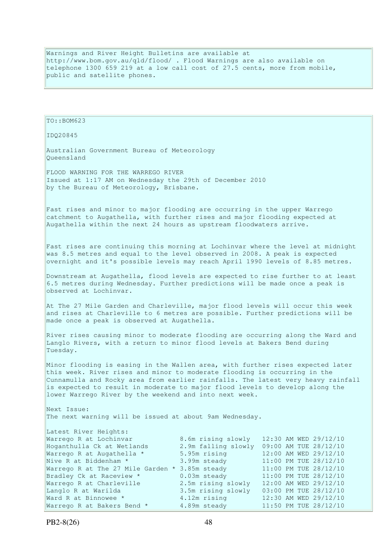Warnings and River Height Bulletins are available at http://www.bom.gov.au/qld/flood/ . Flood Warnings are also available on telephone 1300 659 219 at a low call cost of 27.5 cents, more from mobile, public and satellite phones.

```
TO::BOM623 
IDQ20845 
Australian Government Bureau of Meteorology 
Queensland 
FLOOD WARNING FOR THE WARREGO RIVER 
Issued at 1:17 AM on Wednesday the 29th of December 2010 
by the Bureau of Meteorology, Brisbane.
Fast rises and minor to major flooding are occurring in the upper Warrego 
catchment to Augathella, with further rises and major flooding expected at 
Augathella within the next 24 hours as upstream floodwaters arrive. 
Fast rises are continuing this morning at Lochinvar where the level at midnight 
was 8.5 metres and equal to the level observed in 2008. A peak is expected 
overnight and it's possible levels may reach April 1990 levels of 8.85 metres. 
Downstream at Augathella, flood levels are expected to rise further to at least 
6.5 metres during Wednesday. Further predictions will be made once a peak is 
observed at Lochinvar. 
At The 27 Mile Garden and Charleville, major flood levels will occur this week 
and rises at Charleville to 6 metres are possible. Further predictions will be 
made once a peak is observed at Augathella. 
River rises causing minor to moderate flooding are occurring along the Ward and 
Langlo Rivers, with a return to minor flood levels at Bakers Bend during 
Tuesday. 
Minor flooding is easing in the Wallen area, with further rises expected later 
this week. River rises and minor to moderate flooding is occurring in the 
Cunnamulla and Rocky area from earlier rainfalls. The latest very heavy rainfall 
is expected to result in moderate to major flood levels to develop along the 
lower Warrego River by the weekend and into next week. 
Next Issue: 
The next warning will be issued at about 9am Wednesday. 
Latest River Heights:<br>Warrego R at Lochinvar
Warrego R at Lochinvar           8.6m rising slowly   12:30 AM WED 29/12/10<br>Hoganthulla Ck at Wetlands         2.9m falling slowly 09:00 AM TUE 28/12/10
                                  2.9m falling slowly 09:00 AM TUE 28/12/10
Warrego R at Augathella * 5.95m rising 12:00 AM WED 29/12/10 
Nive R at Biddenham * 3.99m steady 11:00 PM TUE 28/12/10 
Warrego R at The 27 Mile Garden * 3.85m steady 11:00 PM TUE 28/12/10
Bradley Ck at Raceview * 0.03m steady 11:00 PM TUE 28/12/10
Warrego R at Charleville 2.5m rising slowly 12:00 AM WED 29/12/10 
Langlo R at Warilda 3.5m rising slowly 03:00 PM TUE 28/12/10 
Ward R at Binnowee * 4.12m rising 12:30 AM WED 29/12/10 
Ward R at Binnowee * 3.5m rising sl<br>Ward R at Binnowee * 4.12m rising<br>Marrego R at Bakers Bend * 4.89m steady
```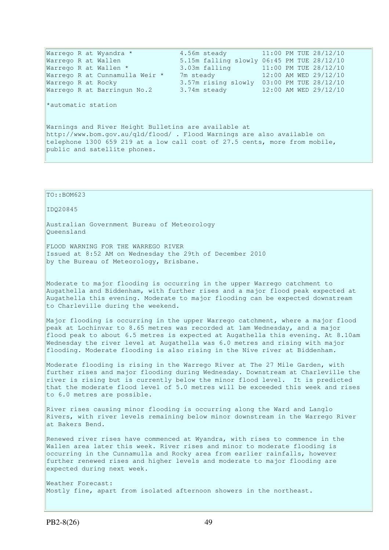Warrego R at Wyandra  $*$  4.56m steady 11:00 PM TUE 28/12/10 Warrego R at Wallen 5.15m falling slowly 06:45 PM TUE 28/12/10 Warrego R at Wallen \* 3.03m falling 11:00 PM TUE 28/12/10 Warrego R at Cunnamulla Weir \* 7m steady 12:00 AM WED 29/12/10 Warrego R at Rocky 3.57m rising slowly 03:00 PM TUE 28/12/10 Warrego R at Barringun No.2 3.74m steady 12:00 AM WED 29/12/10 \*automatic station Warnings and River Height Bulletins are available at http://www.bom.gov.au/qld/flood/ . Flood Warnings are also available on telephone 1300 659 219 at a low call cost of 27.5 cents, more from mobile, public and satellite phones.

TO::BOM623

IDQ20845

Australian Government Bureau of Meteorology Queensland

FLOOD WARNING FOR THE WARREGO RIVER Issued at 8:52 AM on Wednesday the 29th of December 2010 by the Bureau of Meteorology, Brisbane.

Moderate to major flooding is occurring in the upper Warrego catchment to Augathella and Biddenham, with further rises and a major flood peak expected at Augathella this evening. Moderate to major flooding can be expected downstream to Charleville during the weekend.

Major flooding is occurring in the upper Warrego catchment, where a major flood peak at Lochinvar to 8.65 metres was recorded at 1am Wednesday, and a major flood peak to about 6.5 metres is expected at Augathella this evening. At 8.10am Wednesday the river level at Augathella was 6.0 metres and rising with major flooding. Moderate flooding is also rising in the Nive river at Biddenham.

Moderate flooding is rising in the Warrego River at The 27 Mile Garden, with further rises and major flooding during Wednesday. Downstream at Charleville the river is rising but is currently below the minor flood level. It is predicted that the moderate flood level of 5.0 metres will be exceeded this week and rises to 6.0 metres are possible.

River rises causing minor flooding is occurring along the Ward and Langlo Rivers, with river levels remaining below minor downstream in the Warrego River at Bakers Bend.

Renewed river rises have commenced at Wyandra, with rises to commence in the Wallen area later this week. River rises and minor to moderate flooding is occurring in the Cunnamulla and Rocky area from earlier rainfalls, however further renewed rises and higher levels and moderate to major flooding are expected during next week.

Weather Forecast: Mostly fine, apart from isolated afternoon showers in the northeast.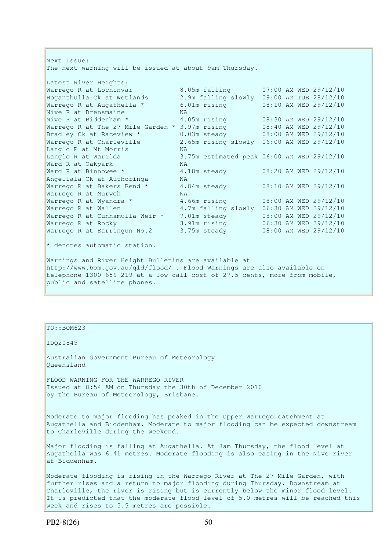Next Issue: The next warning will be issued at about 9am Thursday. Latest River Heights:<br>Warrego R at Lochinvar<br>Hoganthulla Ck at Wetlands Warrego R at Lochinvar 8.05m falling 07:00 AM WED 29/12/10 Hoganthulla Ck at Wetlands 2.9m falling slowly 09:00 AM TUE 28/12/10 Warrego R at Augathella \* 6.01m rising 08:10 AM WED 29/12/10 Nive R at Drensmaine NA Nive R at Biddenham \* 4.05m rising 08:30 AM WED 29/12/10 Warrego R at The 27 Mile Garden \* 3.97m rising 08:40 AM WED 29/12/10 Bradley Ck at Raceview \* 0.03m steady 08:00 AM WED 29/12/10 Warrego R at Charleville 2.65m rising slowly 06:00 AM WED 29/12/10 Langlo R at Mt Morris NA Langlo R at Warilda 3.75m estimated peak 06:00 AM WED 29/12/10 Ward R at Oakpark NA Ward R at Binnowee \* 4.18m steady 08:20 AM WED 29/12/10 Angellala Ck at Authoringa NA Warrego R at Bakers Bend  $*$   $4.84$ m steady  $08:10$  AM WED 29/12/10 Warrego R at Murweh NA Warrego R at Wyandra \* 4.66m rising 08:00 AM WED 29/12/10 Warrego R at Wallen 4.7m falling slowly 06:30 AM WED 29/12/10 Warrego R at Cunnamulla Weir \* 7.01m steady 08:00 AM WED 29/12/10 Warrego R at Rocky 3.91m rising 06:30 AM WED 29/12/10 Warrego R at Barringun No.2 3.75m steady 08:00 AM WED 29/12/10 \* denotes automatic station. Warnings and River Height Bulletins are available at http://www.bom.gov.au/qld/flood/ . Flood Warnings are also available on telephone 1300 659 219 at a low call cost of 27.5 cents, more from mobile, public and satellite phones.

TO::BOM623

IDQ20845

Australian Government Bureau of Meteorology Queensland

FLOOD WARNING FOR THE WARREGO RIVER Issued at 8:54 AM on Thursday the 30th of December 2010 by the Bureau of Meteorology, Brisbane.

Moderate to major flooding has peaked in the upper Warrego catchment at Augathella and Biddenham. Moderate to major flooding can be expected downstream to Charleville during the weekend.

Major flooding is falling at Augathella. At 8am Thursday, the flood level at Augathella was 6.41 metres. Moderate flooding is also easing in the Nive river at Biddenham.

Moderate flooding is rising in the Warrego River at The 27 Mile Garden, with further rises and a return to major flooding during Thursday. Downstream at Charleville, the river is rising but is currently below the minor flood level. It is predicted that the moderate flood level of 5.0 metres will be reached this week and rises to 5.5 metres are possible.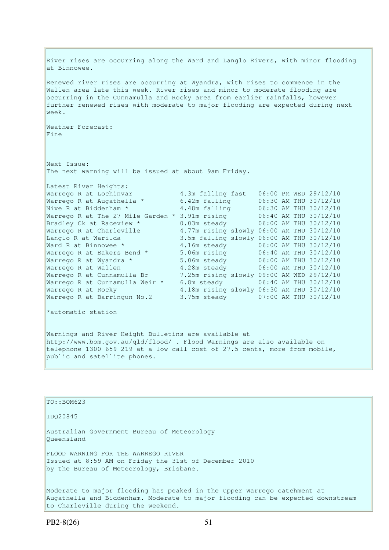River rises are occurring along the Ward and Langlo Rivers, with minor flooding at Binnowee. Renewed river rises are occurring at Wyandra, with rises to commence in the Wallen area late this week. River rises and minor to moderate flooding are occurring in the Cunnamulla and Rocky area from earlier rainfalls, however further renewed rises with moderate to major flooding are expected during next week. Weather Forecast: Fine Next Issue: The next warning will be issued at about 9am Friday. Latest River Heights: Warrego R at Lochinvar 4.3m falling fast 06:00 PM WED 29/12/10<br>
Warrego R at Augathella \* 6.42m falling 06:30 AM THU 30/12/10<br>
Nive R at Biddenham \* 4.48m falling 06:30 AM THU 30/12/10 Warrego R at Augathella \* 6.42m falling 06:30 AM THU 30/12/10 Nive R at Biddenham  $\star$  4.48m falling 06:30 AM THU 30/12/10 Warrego R at The 27 Mile Garden \* 3.91m rising 06:40 AM THU 30/12/10 Bradley Ck at Raceview \* 0.03m steady 06:00 AM THU 30/12/10 Warrego R at Charleville 4.77m rising slowly 06:00 AM THU 30/12/10 Langlo R at Warilda 3.5m falling slowly 06:00 AM THU 30/12/10 Ward R at Binnowee \* 4.16m steady 06:00 AM THU 30/12/10 Warrego R at Bakers Bend \* 5.06m rising 06:40 AM THU 30/12/10 Warrego R at Wyandra \* 5.06m steady 06:00 AM THU 30/12/10 Warrego R at Wallen 4.28m steady 06:00 AM THU 30/12/10 Warrego R at Cunnamulla Br 7.25m rising slowly 09:00 AM WED 29/12/10 Warrego R at Cunnamulla Weir \* 6.8m steady 06:40 AM THU 30/12/10 Warrego R at Rocky 4.18m rising slowly 06:30 AM THU 30/12/10 Warrego R at Barringun No.2 3.75m steady 07:00 AM THU 30/12/10 \*automatic station Warnings and River Height Bulletins are available at http://www.bom.gov.au/qld/flood/ . Flood Warnings are also available on telephone 1300 659 219 at a low call cost of 27.5 cents, more from mobile, public and satellite phones.

| $TO: BOM623$                                                                                                                                                                                     |
|--------------------------------------------------------------------------------------------------------------------------------------------------------------------------------------------------|
| ID020845                                                                                                                                                                                         |
| Australian Government Bureau of Meteorology<br>Oueensland                                                                                                                                        |
| FLOOD WARNING FOR THE WARREGO RIVER<br>Issued at 8:59 AM on Friday the 31st of December 2010<br>by the Bureau of Meteorology, Brisbane.                                                          |
| Moderate to major flooding has peaked in the upper Warrego catchment at<br>Augathella and Biddenham. Moderate to major flooding can be expected downstream<br>to Charleville during the weekend. |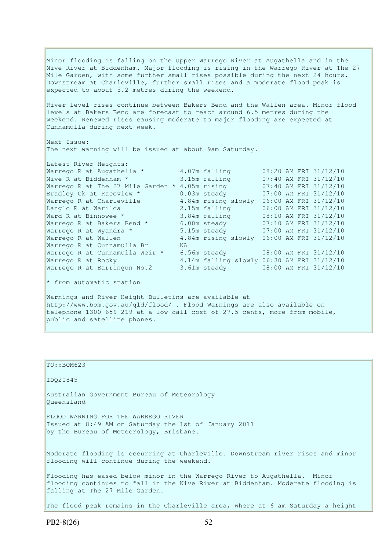Minor flooding is falling on the upper Warrego River at Augathella and in the Nive River at Biddenham. Major flooding is rising in the Warrego River at The 27 Mile Garden, with some further small rises possible during the next 24 hours. Downstream at Charleville, further small rises and a moderate flood peak is expected to about 5.2 metres during the weekend.

River level rises continue between Bakers Bend and the Wallen area. Minor flood levels at Bakers Bend are forecast to reach around 6.5 metres during the weekend. Renewed rises causing moderate to major flooding are expected at Cunnamulla during next week.

Next Issue: The next warning will be issued at about 9am Saturday.

| Latest River Heights:                            |     |                                            |  |                       |
|--------------------------------------------------|-----|--------------------------------------------|--|-----------------------|
| Warrego R at Augathella *                        |     | 4.07m falling                              |  | 08:20 AM FRI 31/12/10 |
| Nive R at Biddenham *                            |     | 3.15m falling                              |  | 07:40 AM FRI 31/12/10 |
| Warrego R at The 27 Mile Garden $*$ 4.05m rising |     |                                            |  | 07:40 AM FRI 31/12/10 |
| Bradley Ck at Raceview *                         |     | $0.03m$ steady                             |  | 07:00 AM FRI 31/12/10 |
| Warrego R at Charleville                         |     | 4.84m rising slowly                        |  | 06:00 AM FRI 31/12/10 |
| Langlo R at Warilda                              |     | 2.15m falling                              |  | 06:00 AM FRI 31/12/10 |
| Ward R at Binnowee *                             |     | 3.84m falling                              |  | 08:10 AM FRI 31/12/10 |
| Warrego R at Bakers Bend *                       |     | 6.00m steady                               |  | 07:10 AM FRI 31/12/10 |
| Warrego R at Wyandra *                           |     | 5.15m steady                               |  | 07:00 AM FRI 31/12/10 |
| Warrego R at Wallen                              |     | 4.84m rising slowly                        |  | 06:00 AM FRI 31/12/10 |
| Warrego R at Cunnamulla Br                       | NA. |                                            |  |                       |
| Warrego R at Cunnamulla Weir *                   |     | 6.56m steady 08:00 AM FRI 31/12/10         |  |                       |
| Warrego R at Rocky                               |     | 4.14m falling slowly 06:30 AM FRI 31/12/10 |  |                       |
| Warrego R at Barringun No.2                      |     | 3.61m steady                               |  | 08:00 AM FRI 31/12/10 |

\* from automatic station

Warnings and River Height Bulletins are available at http://www.bom.gov.au/qld/flood/ . Flood Warnings are also available on telephone 1300 659 219 at a low call cost of 27.5 cents, more from mobile, public and satellite phones.

TO::BOM623 IDQ20845 Australian Government Bureau of Meteorology Queensland FLOOD WARNING FOR THE WARREGO RIVER Issued at 8:49 AM on Saturday the 1st of January 2011 by the Bureau of Meteorology, Brisbane. Moderate flooding is occurring at Charleville. Downstream river rises and minor flooding will continue during the weekend. Flooding has eased below minor in the Warrego River to Augathella. Minor flooding continues to fall in the Nive River at Biddenham. Moderate flooding is falling at The 27 Mile Garden. The flood peak remains in the Charleville area, where at 6 am Saturday a height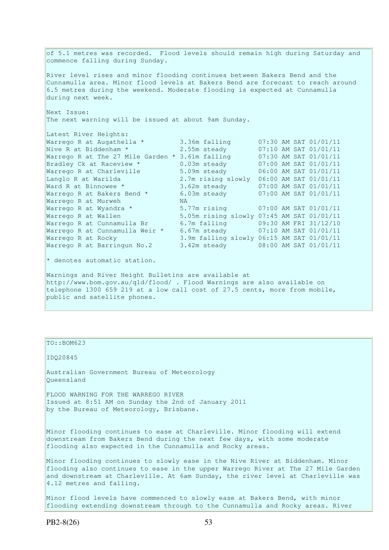of 5.1 metres was recorded. Flood levels should remain high during Saturday and commence falling during Sunday. River level rises and minor flooding continues between Bakers Bend and the Cunnamulla area. Minor flood levels at Bakers Bend are forecast to reach around 6.5 metres during the weekend. Moderate flooding is expected at Cunnamulla during next week. Next Issue: The next warning will be issued at about 9am Sunday. Latest River Heights: Warrego R at Augathella \* 3.36m falling 07:30 AM SAT 01/01/11 Nive R at Biddenham \* 2.55m steady 07:10 AM SAT 01/01/11 Warrego R at The 27 Mile Garden \* 3.61m falling 07:30 AM SAT 01/01/11 Bradley Ck at Raceview \* 0.03m steady 07:00 AM SAT 01/01/11 Warrego R at Charleville 5.09m steady 06:00 AM SAT 01/01/11 Langlo R at Warilda 2.7m rising slowly 06:00 AM SAT 01/01/11 Ward R at Binnowee \* 3.62m steady 07:00 AM SAT 01/01/11 Warrego R at Bakers Bend \* 6.03m steady 07:00 AM SAT 01/01/11 Warrego R at Murweh NA Warrego R at Wyandra \* 5.77m rising 07:00 AM SAT 01/01/11<br>Warrego R at Wallen 5.05m rising slowly 07:45 AM SAT 01/01/11 Warrego R at Wallen 5.05m rising slowly 07:45 AM SAT 01/01/11 Warrego R at Cunnamulla Br 6.7m falling 09:30 AM FRI 31/12/10 Warrego R at Cunnamulla Weir \* 6.67m steady 07:10 AM SAT 01/01/11 Warrego R at Rocky 3.9m falling slowly 06:15 AM SAT 01/01/11 Warrego R at Barringun No.2 3.42m steady 08:00 AM SAT 01/01/11  $*$  denotes automatic station. Warnings and River Height Bulletins are available at http://www.bom.gov.au/qld/flood/ . Flood Warnings are also available on

telephone 1300 659 219 at a low call cost of 27.5 cents, more from mobile, public and satellite phones.

#### TO::BOM623

IDQ20845

Australian Government Bureau of Meteorology Queensland

FLOOD WARNING FOR THE WARREGO RIVER Issued at 8:51 AM on Sunday the 2nd of January 2011 by the Bureau of Meteorology, Brisbane.

Minor flooding continues to ease at Charleville. Minor flooding will extend downstream from Bakers Bend during the next few days, with some moderate flooding also expected in the Cunnamulla and Rocky areas.

Minor flooding continues to slowly ease in the Nive River at Biddenham. Minor flooding also continues to ease in the upper Warrego River at The 27 Mile Garden and downstream at Charleville. At 6am Sunday, the river level at Charleville was 4.12 metres and falling.

Minor flood levels have commenced to slowly ease at Bakers Bend, with minor flooding extending downstream through to the Cunnamulla and Rocky areas. River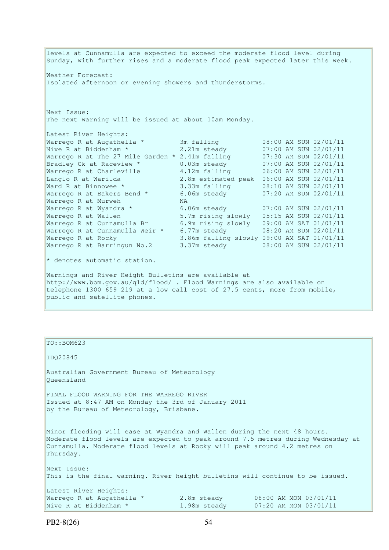levels at Cunnamulla are expected to exceed the moderate flood level during Sunday, with further rises and a moderate flood peak expected later this week. Weather Forecast: Isolated afternoon or evening showers and thunderstorms. Next Issue: The next warning will be issued at about 10am Monday. Latest River Heights: Warrego R at Augathella \* 3m falling 08:00 AM SUN 02/01/11 Nive R at Biddenham \* 2.21m steady 07:00 AM SUN 02/01/11 Warrego R at The 27 Mile Garden \* 2.41m falling 07:30 AM SUN 02/01/11 Bradley Ck at Raceview \* 0.03m steady 07:00 AM SUN 02/01/11 Warrego R at Charleville 4.12m falling 06:00 AM SUN 02/01/11 Langlo R at Warilda 2.8m estimated peak 06:00 AM SUN 02/01/11 Ward R at Binnowee \* 3.33m falling 08:10 AM SUN 02/01/11 Warrego R at Bakers Bend \* 6.06m steady 07:20 AM SUN 02/01/11 Warrego R at Murweh NA Warrego R at Wyandra \* 6.06m steady 07:00 AM SUN 02/01/11 Warrego R at Wallen 5.7m rising slowly 05:15 AM SUN 02/01/11 Warrego R at Cunnamulla Br 6.9m rising slowly 09:00 AM SAT 01/01/11 Warrego R at Cunnamulla Weir \* 6.77m steady 08:20 AM SUN 02/01/11 Warrego R at Rocky 3.86m falling slowly 09:00 AM SAT 01/01/11 Warrego R at Barringun No.2 3.37m steady 08:00 AM SUN 02/01/11  $*$  denotes automatic station. Warnings and River Height Bulletins are available at http://www.bom.gov.au/qld/flood/ . Flood Warnings are also available on telephone 1300 659 219 at a low call cost of 27.5 cents, more from mobile, public and satellite phones.

TO::BOM623 IDQ20845 Australian Government Bureau of Meteorology Queensland FINAL FLOOD WARNING FOR THE WARREGO RIVER Issued at 8:47 AM on Monday the 3rd of January 2011 by the Bureau of Meteorology, Brisbane. Minor flooding will ease at Wyandra and Wallen during the next 48 hours. Moderate flood levels are expected to peak around 7.5 metres during Wednesday at Cunnamulla. Moderate flood levels at Rocky will peak around 4.2 metres on Thursday. Next Issue: This is the final warning. River height bulletins will continue to be issued. Latest River Heights: Warrego R at Augathella \* 2.8m steady 08:00 AM MON 03/01/11 Nive R at Biddenham \* 1.98m steady 07:20 AM MON 03/01/11